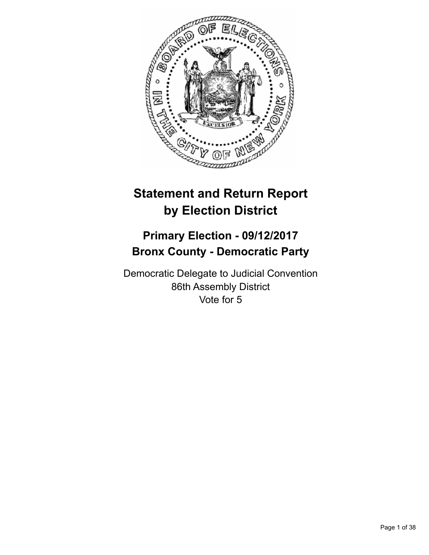

# **Statement and Return Report by Election District**

# **Primary Election - 09/12/2017 Bronx County - Democratic Party**

Democratic Delegate to Judicial Convention 86th Assembly District Vote for 5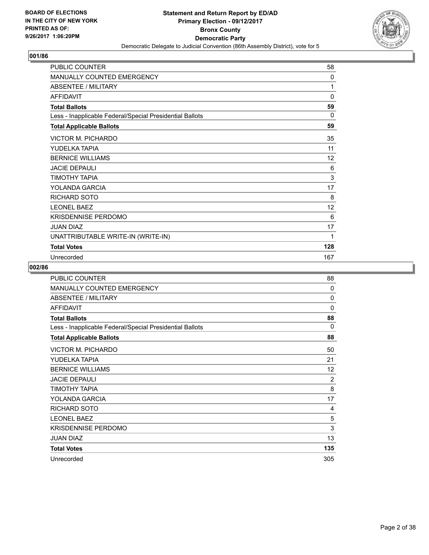

| <b>PUBLIC COUNTER</b>                                    | 58           |
|----------------------------------------------------------|--------------|
| <b>MANUALLY COUNTED EMERGENCY</b>                        | 0            |
| <b>ABSENTEE / MILITARY</b>                               | 1            |
| <b>AFFIDAVIT</b>                                         | $\mathbf{0}$ |
| <b>Total Ballots</b>                                     | 59           |
| Less - Inapplicable Federal/Special Presidential Ballots | 0            |
| <b>Total Applicable Ballots</b>                          | 59           |
| <b>VICTOR M. PICHARDO</b>                                | 35           |
| YUDELKA TAPIA                                            | 11           |
| <b>BERNICE WILLIAMS</b>                                  | 12           |
| <b>JACIE DEPAULI</b>                                     | 6            |
| ΤΙΜΟΤΗΥ ΤΑΡΙΑ                                            | 3            |
| YOLANDA GARCIA                                           | 17           |
| <b>RICHARD SOTO</b>                                      | 8            |
| <b>LEONEL BAEZ</b>                                       | 12           |
| <b>KRISDENNISE PERDOMO</b>                               | 6            |
| <b>JUAN DIAZ</b>                                         | 17           |
| UNATTRIBUTABLE WRITE-IN (WRITE-IN)                       | 1            |
| <b>Total Votes</b>                                       | 128          |
| Unrecorded                                               | 167          |

| <b>PUBLIC COUNTER</b>                                    | 88             |
|----------------------------------------------------------|----------------|
| MANUALLY COUNTED EMERGENCY                               | $\Omega$       |
| ABSENTEE / MILITARY                                      | 0              |
| <b>AFFIDAVIT</b>                                         | 0              |
| <b>Total Ballots</b>                                     | 88             |
| Less - Inapplicable Federal/Special Presidential Ballots | $\Omega$       |
| <b>Total Applicable Ballots</b>                          | 88             |
| VICTOR M. PICHARDO                                       | 50             |
| YUDELKA TAPIA                                            | 21             |
| <b>BERNICE WILLIAMS</b>                                  | 12             |
| <b>JACIE DEPAULI</b>                                     | $\overline{2}$ |
| ΤΙΜΟΤΗΥ ΤΑΡΙΑ                                            | 8              |
| YOLANDA GARCIA                                           | 17             |
| <b>RICHARD SOTO</b>                                      | 4              |
| <b>LEONEL BAEZ</b>                                       | 5              |
| <b>KRISDENNISE PERDOMO</b>                               | 3              |
| <b>JUAN DIAZ</b>                                         | 13             |
| <b>Total Votes</b>                                       | 135            |
| Unrecorded                                               | 305            |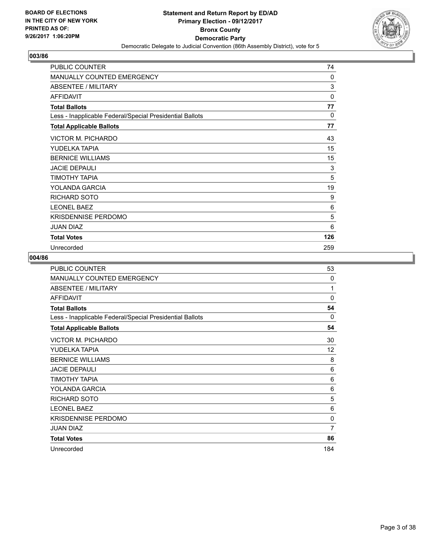

| PUBLIC COUNTER                                           | 74  |
|----------------------------------------------------------|-----|
| <b>MANUALLY COUNTED EMERGENCY</b>                        | 0   |
| <b>ABSENTEE / MILITARY</b>                               | 3   |
| <b>AFFIDAVIT</b>                                         | 0   |
| <b>Total Ballots</b>                                     | 77  |
| Less - Inapplicable Federal/Special Presidential Ballots | 0   |
| <b>Total Applicable Ballots</b>                          | 77  |
| VICTOR M. PICHARDO                                       | 43  |
| YUDELKA TAPIA                                            | 15  |
| <b>BERNICE WILLIAMS</b>                                  | 15  |
| <b>JACIE DEPAULI</b>                                     | 3   |
| TIMOTHY TAPIA                                            | 5   |
| YOLANDA GARCIA                                           | 19  |
| <b>RICHARD SOTO</b>                                      | 9   |
| <b>LEONEL BAEZ</b>                                       | 6   |
| <b>KRISDENNISE PERDOMO</b>                               | 5   |
| <b>JUAN DIAZ</b>                                         | 6   |
| <b>Total Votes</b>                                       | 126 |
| Unrecorded                                               | 259 |

| PUBLIC COUNTER                                           | 53           |
|----------------------------------------------------------|--------------|
| <b>MANUALLY COUNTED EMERGENCY</b>                        | 0            |
| <b>ABSENTEE / MILITARY</b>                               | 1            |
| <b>AFFIDAVIT</b>                                         | $\Omega$     |
| <b>Total Ballots</b>                                     | 54           |
| Less - Inapplicable Federal/Special Presidential Ballots | 0            |
| <b>Total Applicable Ballots</b>                          | 54           |
| VICTOR M. PICHARDO                                       | 30           |
| YUDELKA TAPIA                                            | 12           |
| <b>BERNICE WILLIAMS</b>                                  | 8            |
| <b>JACIE DEPAULI</b>                                     | 6            |
| ΤΙΜΟΤΗΥ ΤΑΡΙΑ                                            | 6            |
| YOLANDA GARCIA                                           | 6            |
| RICHARD SOTO                                             | 5            |
| <b>LEONEL BAEZ</b>                                       | 6            |
| <b>KRISDENNISE PERDOMO</b>                               | $\mathbf{0}$ |
| <b>JUAN DIAZ</b>                                         | 7            |
| <b>Total Votes</b>                                       | 86           |
| Unrecorded                                               | 184          |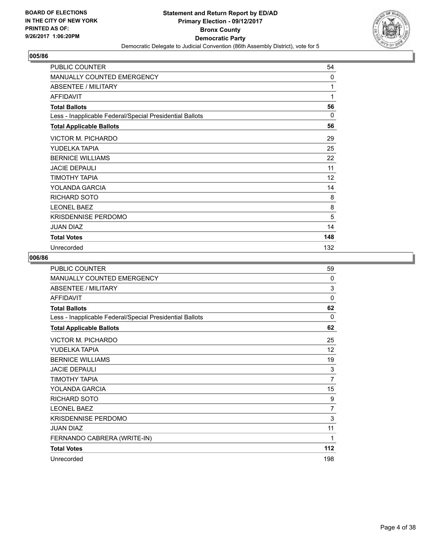

| PUBLIC COUNTER                                           | 54       |
|----------------------------------------------------------|----------|
| <b>MANUALLY COUNTED EMERGENCY</b>                        | 0        |
| ABSENTEE / MILITARY                                      | 1        |
| <b>AFFIDAVIT</b>                                         | 1        |
| <b>Total Ballots</b>                                     | 56       |
| Less - Inapplicable Federal/Special Presidential Ballots | $\Omega$ |
| <b>Total Applicable Ballots</b>                          | 56       |
| <b>VICTOR M. PICHARDO</b>                                | 29       |
| YUDELKA TAPIA                                            | 25       |
| <b>BERNICE WILLIAMS</b>                                  | 22       |
| <b>JACIE DEPAULI</b>                                     | 11       |
| TIMOTHY TAPIA                                            | 12       |
| YOLANDA GARCIA                                           | 14       |
| <b>RICHARD SOTO</b>                                      | 8        |
| <b>LEONEL BAEZ</b>                                       | 8        |
| <b>KRISDENNISE PERDOMO</b>                               | 5        |
| JUAN DIAZ                                                | 14       |
| <b>Total Votes</b>                                       | 148      |
| Unrecorded                                               | 132      |

| <b>PUBLIC COUNTER</b>                                    | 59             |
|----------------------------------------------------------|----------------|
| MANUALLY COUNTED EMERGENCY                               | 0              |
| ABSENTEE / MILITARY                                      | 3              |
| <b>AFFIDAVIT</b>                                         | $\Omega$       |
| <b>Total Ballots</b>                                     | 62             |
| Less - Inapplicable Federal/Special Presidential Ballots | 0              |
| <b>Total Applicable Ballots</b>                          | 62             |
| <b>VICTOR M. PICHARDO</b>                                | 25             |
| YUDELKA TAPIA                                            | 12             |
| <b>BERNICE WILLIAMS</b>                                  | 19             |
| <b>JACIE DEPAULI</b>                                     | 3              |
| ΤΙΜΟΤΗΥ ΤΑΡΙΑ                                            | $\overline{7}$ |
| YOLANDA GARCIA                                           | 15             |
| <b>RICHARD SOTO</b>                                      | 9              |
| <b>LEONEL BAEZ</b>                                       | $\overline{7}$ |
| <b>KRISDENNISE PERDOMO</b>                               | 3              |
| <b>JUAN DIAZ</b>                                         | 11             |
| FERNANDO CABRERA (WRITE-IN)                              | 1              |
| <b>Total Votes</b>                                       | 112            |
| Unrecorded                                               | 198            |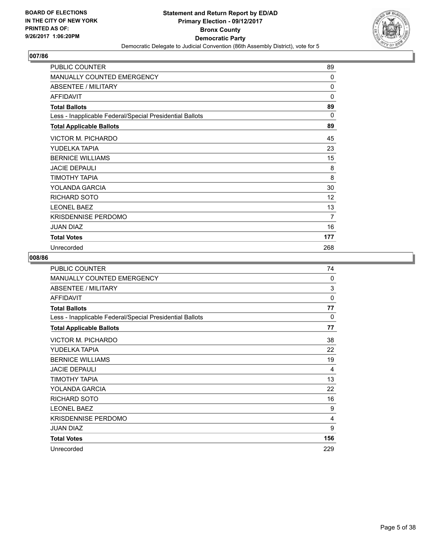

| <b>PUBLIC COUNTER</b>                                    | 89           |
|----------------------------------------------------------|--------------|
| <b>MANUALLY COUNTED EMERGENCY</b>                        | $\mathbf{0}$ |
| ABSENTEE / MILITARY                                      | 0            |
| <b>AFFIDAVIT</b>                                         | 0            |
| <b>Total Ballots</b>                                     | 89           |
| Less - Inapplicable Federal/Special Presidential Ballots | $\Omega$     |
| <b>Total Applicable Ballots</b>                          | 89           |
| VICTOR M. PICHARDO                                       | 45           |
| YUDELKA TAPIA                                            | 23           |
| <b>BERNICE WILLIAMS</b>                                  | 15           |
| <b>JACIE DEPAULI</b>                                     | 8            |
| TIMOTHY TAPIA                                            | 8            |
| YOLANDA GARCIA                                           | 30           |
| RICHARD SOTO                                             | 12           |
| <b>LEONEL BAEZ</b>                                       | 13           |
| <b>KRISDENNISE PERDOMO</b>                               | 7            |
| <b>JUAN DIAZ</b>                                         | 16           |
| <b>Total Votes</b>                                       | 177          |
| Unrecorded                                               | 268          |

| <b>PUBLIC COUNTER</b>                                    | 74       |
|----------------------------------------------------------|----------|
| <b>MANUALLY COUNTED EMERGENCY</b>                        | 0        |
| <b>ABSENTEE / MILITARY</b>                               | 3        |
| <b>AFFIDAVIT</b>                                         | $\Omega$ |
| <b>Total Ballots</b>                                     | 77       |
| Less - Inapplicable Federal/Special Presidential Ballots | 0        |
| <b>Total Applicable Ballots</b>                          | 77       |
| <b>VICTOR M. PICHARDO</b>                                | 38       |
| YUDELKA TAPIA                                            | 22       |
| <b>BERNICE WILLIAMS</b>                                  | 19       |
| <b>JACIE DEPAULI</b>                                     | 4        |
| TIMOTHY TAPIA                                            | 13       |
| YOLANDA GARCIA                                           | 22       |
| RICHARD SOTO                                             | 16       |
| <b>LEONEL BAEZ</b>                                       | 9        |
| <b>KRISDENNISE PERDOMO</b>                               | 4        |
| <b>JUAN DIAZ</b>                                         | 9        |
| <b>Total Votes</b>                                       | 156      |
| Unrecorded                                               | 229      |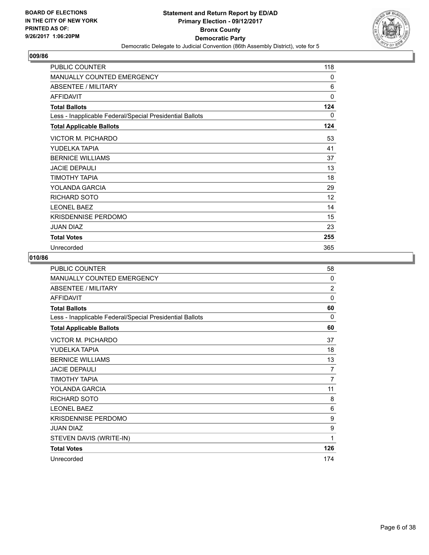

| PUBLIC COUNTER                                           | 118 |
|----------------------------------------------------------|-----|
| MANUALLY COUNTED EMERGENCY                               | 0   |
| <b>ABSENTEE / MILITARY</b>                               | 6   |
| <b>AFFIDAVIT</b>                                         | 0   |
| <b>Total Ballots</b>                                     | 124 |
| Less - Inapplicable Federal/Special Presidential Ballots | 0   |
| <b>Total Applicable Ballots</b>                          | 124 |
| VICTOR M. PICHARDO                                       | 53  |
| YUDELKA TAPIA                                            | 41  |
| <b>BERNICE WILLIAMS</b>                                  | 37  |
| <b>JACIE DEPAULI</b>                                     | 13  |
| TIMOTHY TAPIA                                            | 18  |
| YOLANDA GARCIA                                           | 29  |
| <b>RICHARD SOTO</b>                                      | 12  |
| <b>LEONEL BAEZ</b>                                       | 14  |
| <b>KRISDENNISE PERDOMO</b>                               | 15  |
| <b>JUAN DIAZ</b>                                         | 23  |
| <b>Total Votes</b>                                       | 255 |
| Unrecorded                                               | 365 |

| PUBLIC COUNTER                                           | 58             |
|----------------------------------------------------------|----------------|
| MANUALLY COUNTED EMERGENCY                               | 0              |
| <b>ABSENTEE / MILITARY</b>                               | $\overline{2}$ |
| <b>AFFIDAVIT</b>                                         | $\Omega$       |
| <b>Total Ballots</b>                                     | 60             |
| Less - Inapplicable Federal/Special Presidential Ballots | 0              |
| <b>Total Applicable Ballots</b>                          | 60             |
| <b>VICTOR M. PICHARDO</b>                                | 37             |
| YUDELKA TAPIA                                            | 18             |
| <b>BERNICE WILLIAMS</b>                                  | 13             |
| <b>JACIE DEPAULI</b>                                     | 7              |
| ΤΙΜΟΤΗΥ ΤΑΡΙΑ                                            | $\overline{7}$ |
| YOLANDA GARCIA                                           | 11             |
| <b>RICHARD SOTO</b>                                      | 8              |
| <b>LEONEL BAEZ</b>                                       | 6              |
| <b>KRISDENNISE PERDOMO</b>                               | 9              |
| <b>JUAN DIAZ</b>                                         | 9              |
| STEVEN DAVIS (WRITE-IN)                                  | 1              |
| <b>Total Votes</b>                                       | 126            |
| Unrecorded                                               | 174            |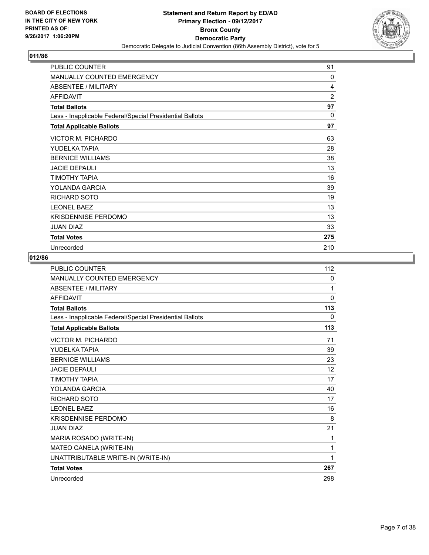

| PUBLIC COUNTER                                           | 91           |
|----------------------------------------------------------|--------------|
| <b>MANUALLY COUNTED EMERGENCY</b>                        | 0            |
| ABSENTEE / MILITARY                                      | 4            |
| <b>AFFIDAVIT</b>                                         | 2            |
| <b>Total Ballots</b>                                     | 97           |
| Less - Inapplicable Federal/Special Presidential Ballots | $\mathbf{0}$ |
| <b>Total Applicable Ballots</b>                          | 97           |
| VICTOR M. PICHARDO                                       | 63           |
| YUDELKA TAPIA                                            | 28           |
| <b>BERNICE WILLIAMS</b>                                  | 38           |
| <b>JACIE DEPAULI</b>                                     | 13           |
| TIMOTHY TAPIA                                            | 16           |
| YOLANDA GARCIA                                           | 39           |
| <b>RICHARD SOTO</b>                                      | 19           |
| <b>LEONEL BAEZ</b>                                       | 13           |
| <b>KRISDENNISE PERDOMO</b>                               | 13           |
| JUAN DIAZ                                                | 33           |
| <b>Total Votes</b>                                       | 275          |
| Unrecorded                                               | 210          |

| <b>PUBLIC COUNTER</b>                                    | 112          |
|----------------------------------------------------------|--------------|
| <b>MANUALLY COUNTED EMERGENCY</b>                        | $\mathbf{0}$ |
| <b>ABSENTEE / MILITARY</b>                               | 1            |
| <b>AFFIDAVIT</b>                                         | $\Omega$     |
| <b>Total Ballots</b>                                     | 113          |
| Less - Inapplicable Federal/Special Presidential Ballots | $\mathbf{0}$ |
| <b>Total Applicable Ballots</b>                          | 113          |
| <b>VICTOR M. PICHARDO</b>                                | 71           |
| YUDELKA TAPIA                                            | 39           |
| <b>BERNICE WILLIAMS</b>                                  | 23           |
| <b>JACIE DEPAULI</b>                                     | 12           |
| ΤΙΜΟΤΗΥ ΤΑΡΙΑ                                            | 17           |
| YOLANDA GARCIA                                           | 40           |
| <b>RICHARD SOTO</b>                                      | 17           |
| <b>LEONEL BAEZ</b>                                       | 16           |
| <b>KRISDENNISE PERDOMO</b>                               | 8            |
| <b>JUAN DIAZ</b>                                         | 21           |
| MARIA ROSADO (WRITE-IN)                                  | 1            |
| MATEO CANELA (WRITE-IN)                                  | 1            |
| UNATTRIBUTABLE WRITE-IN (WRITE-IN)                       | 1            |
| <b>Total Votes</b>                                       | 267          |
| Unrecorded                                               | 298          |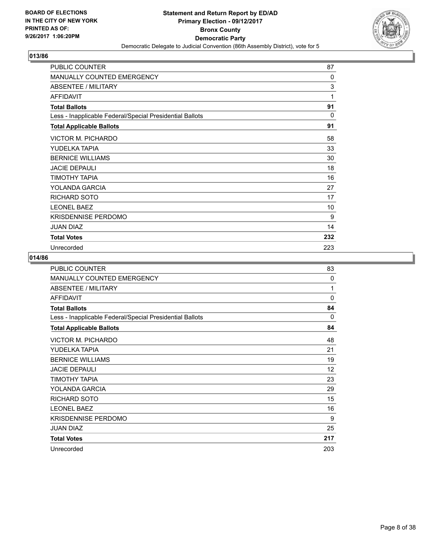

| PUBLIC COUNTER                                           | 87       |
|----------------------------------------------------------|----------|
| <b>MANUALLY COUNTED EMERGENCY</b>                        | 0        |
| ABSENTEE / MILITARY                                      | 3        |
| <b>AFFIDAVIT</b>                                         | 1        |
| <b>Total Ballots</b>                                     | 91       |
| Less - Inapplicable Federal/Special Presidential Ballots | $\Omega$ |
| <b>Total Applicable Ballots</b>                          | 91       |
| VICTOR M. PICHARDO                                       | 58       |
| YUDELKA TAPIA                                            | 33       |
| <b>BERNICE WILLIAMS</b>                                  | 30       |
| <b>JACIE DEPAULI</b>                                     | 18       |
| TIMOTHY TAPIA                                            | 16       |
| YOLANDA GARCIA                                           | 27       |
| <b>RICHARD SOTO</b>                                      | 17       |
| <b>LEONEL BAEZ</b>                                       | 10       |
| <b>KRISDENNISE PERDOMO</b>                               | 9        |
| JUAN DIAZ                                                | 14       |
| <b>Total Votes</b>                                       | 232      |
| Unrecorded                                               | 223      |

| <b>PUBLIC COUNTER</b>                                    | 83       |
|----------------------------------------------------------|----------|
| <b>MANUALLY COUNTED EMERGENCY</b>                        | 0        |
| ABSENTEE / MILITARY                                      | 1        |
| <b>AFFIDAVIT</b>                                         | $\Omega$ |
| <b>Total Ballots</b>                                     | 84       |
| Less - Inapplicable Federal/Special Presidential Ballots | 0        |
| <b>Total Applicable Ballots</b>                          | 84       |
| <b>VICTOR M. PICHARDO</b>                                | 48       |
| YUDELKA TAPIA                                            | 21       |
| <b>BERNICE WILLIAMS</b>                                  | 19       |
| <b>JACIE DEPAULI</b>                                     | 12       |
| ΤΙΜΟΤΗΥ ΤΑΡΙΑ                                            | 23       |
| YOLANDA GARCIA                                           | 29       |
| RICHARD SOTO                                             | 15       |
| <b>LEONEL BAEZ</b>                                       | 16       |
| <b>KRISDENNISE PERDOMO</b>                               | 9        |
| <b>JUAN DIAZ</b>                                         | 25       |
| <b>Total Votes</b>                                       | 217      |
| Unrecorded                                               | 203      |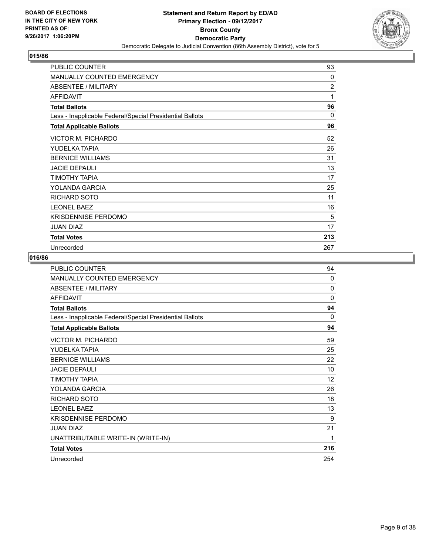

| PUBLIC COUNTER                                           | 93             |
|----------------------------------------------------------|----------------|
| <b>MANUALLY COUNTED EMERGENCY</b>                        | 0              |
| ABSENTEE / MILITARY                                      | $\overline{2}$ |
| <b>AFFIDAVIT</b>                                         | 1              |
| <b>Total Ballots</b>                                     | 96             |
| Less - Inapplicable Federal/Special Presidential Ballots | $\Omega$       |
| <b>Total Applicable Ballots</b>                          | 96             |
| VICTOR M. PICHARDO                                       | 52             |
| YUDELKA TAPIA                                            | 26             |
| <b>BERNICE WILLIAMS</b>                                  | 31             |
| <b>JACIE DEPAULI</b>                                     | 13             |
| TIMOTHY TAPIA                                            | 17             |
| YOLANDA GARCIA                                           | 25             |
| <b>RICHARD SOTO</b>                                      | 11             |
| <b>LEONEL BAEZ</b>                                       | 16             |
| <b>KRISDENNISE PERDOMO</b>                               | 5              |
| JUAN DIAZ                                                | 17             |
| <b>Total Votes</b>                                       | 213            |
| Unrecorded                                               | 267            |

| PUBLIC COUNTER                                           | 94       |
|----------------------------------------------------------|----------|
| <b>MANUALLY COUNTED EMERGENCY</b>                        | $\Omega$ |
| <b>ABSENTEE / MILITARY</b>                               | $\Omega$ |
| <b>AFFIDAVIT</b>                                         | $\Omega$ |
| <b>Total Ballots</b>                                     | 94       |
| Less - Inapplicable Federal/Special Presidential Ballots | $\Omega$ |
| <b>Total Applicable Ballots</b>                          | 94       |
| VICTOR M. PICHARDO                                       | 59       |
| YUDELKA TAPIA                                            | 25       |
| <b>BERNICE WILLIAMS</b>                                  | 22       |
| <b>JACIE DEPAULI</b>                                     | 10       |
| ΤΙΜΟΤΗΥ ΤΑΡΙΑ                                            | 12       |
| YOLANDA GARCIA                                           | 26       |
| <b>RICHARD SOTO</b>                                      | 18       |
| <b>LEONEL BAEZ</b>                                       | 13       |
| <b>KRISDENNISE PERDOMO</b>                               | 9        |
| <b>JUAN DIAZ</b>                                         | 21       |
| UNATTRIBUTABLE WRITE-IN (WRITE-IN)                       | 1        |
| <b>Total Votes</b>                                       | 216      |
| Unrecorded                                               | 254      |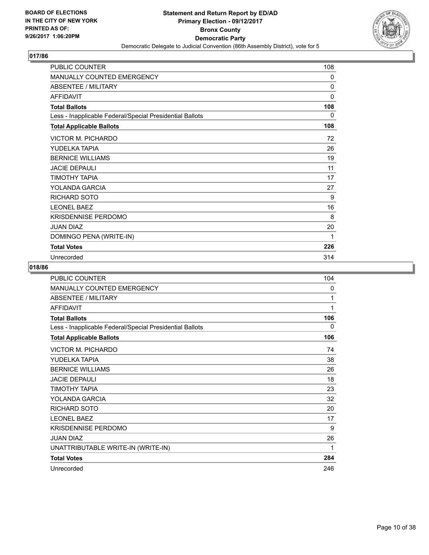

| <b>PUBLIC COUNTER</b>                                    | 108          |
|----------------------------------------------------------|--------------|
| <b>MANUALLY COUNTED EMERGENCY</b>                        | 0            |
| <b>ABSENTEE / MILITARY</b>                               | 0            |
| <b>AFFIDAVIT</b>                                         | $\mathbf{0}$ |
| <b>Total Ballots</b>                                     | 108          |
| Less - Inapplicable Federal/Special Presidential Ballots | 0            |
| <b>Total Applicable Ballots</b>                          | 108          |
| VICTOR M. PICHARDO                                       | 72           |
| YUDELKA TAPIA                                            | 26           |
| <b>BERNICE WILLIAMS</b>                                  | 19           |
| <b>JACIE DEPAULI</b>                                     | 11           |
| ΤΙΜΟΤΗΥ ΤΑΡΙΑ                                            | 17           |
| YOLANDA GARCIA                                           | 27           |
| RICHARD SOTO                                             | 9            |
| <b>LEONEL BAEZ</b>                                       | 16           |
| <b>KRISDENNISE PERDOMO</b>                               | 8            |
| <b>JUAN DIAZ</b>                                         | 20           |
| DOMINGO PENA (WRITE-IN)                                  | 1            |
| <b>Total Votes</b>                                       | 226          |
| Unrecorded                                               | 314          |

| <b>PUBLIC COUNTER</b>                                    | 104 |
|----------------------------------------------------------|-----|
| MANUALLY COUNTED EMERGENCY                               | 0   |
| <b>ABSENTEE / MILITARY</b>                               | 1   |
| <b>AFFIDAVIT</b>                                         | 1   |
| <b>Total Ballots</b>                                     | 106 |
| Less - Inapplicable Federal/Special Presidential Ballots | 0   |
| <b>Total Applicable Ballots</b>                          | 106 |
| VICTOR M. PICHARDO                                       | 74  |
| YUDELKA TAPIA                                            | 38  |
| <b>BERNICE WILLIAMS</b>                                  | 26  |
| <b>JACIE DEPAULI</b>                                     | 18  |
| <b>TIMOTHY TAPIA</b>                                     | 23  |
| YOLANDA GARCIA                                           | 32  |
| <b>RICHARD SOTO</b>                                      | 20  |
| <b>LEONEL BAEZ</b>                                       | 17  |
| <b>KRISDENNISE PERDOMO</b>                               | 9   |
| <b>JUAN DIAZ</b>                                         | 26  |
| UNATTRIBUTABLE WRITE-IN (WRITE-IN)                       | 1   |
| <b>Total Votes</b>                                       | 284 |
| Unrecorded                                               | 246 |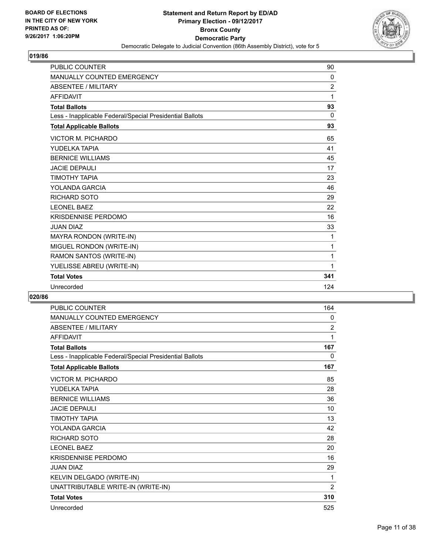

| <b>MANUALLY COUNTED EMERGENCY</b><br>0<br><b>ABSENTEE / MILITARY</b><br>2<br><b>AFFIDAVIT</b><br>1<br>93<br><b>Total Ballots</b><br>0<br>Less - Inapplicable Federal/Special Presidential Ballots<br>93<br><b>Total Applicable Ballots</b><br><b>VICTOR M. PICHARDO</b><br>65<br>YUDELKA TAPIA<br>41<br><b>BERNICE WILLIAMS</b><br>45<br><b>JACIE DEPAULI</b><br>17<br>ΤΙΜΟΤΗΥ ΤΑΡΙΑ<br>23<br>YOLANDA GARCIA<br>46<br><b>RICHARD SOTO</b><br>29<br><b>LEONEL BAEZ</b><br>22<br><b>KRISDENNISE PERDOMO</b><br>16<br><b>JUAN DIAZ</b><br>33<br>MAYRA RONDON (WRITE-IN)<br>1<br>MIGUEL RONDON (WRITE-IN)<br>1 | <b>PUBLIC COUNTER</b> | 90 |
|------------------------------------------------------------------------------------------------------------------------------------------------------------------------------------------------------------------------------------------------------------------------------------------------------------------------------------------------------------------------------------------------------------------------------------------------------------------------------------------------------------------------------------------------------------------------------------------------------------|-----------------------|----|
|                                                                                                                                                                                                                                                                                                                                                                                                                                                                                                                                                                                                            |                       |    |
|                                                                                                                                                                                                                                                                                                                                                                                                                                                                                                                                                                                                            |                       |    |
|                                                                                                                                                                                                                                                                                                                                                                                                                                                                                                                                                                                                            |                       |    |
|                                                                                                                                                                                                                                                                                                                                                                                                                                                                                                                                                                                                            |                       |    |
|                                                                                                                                                                                                                                                                                                                                                                                                                                                                                                                                                                                                            |                       |    |
|                                                                                                                                                                                                                                                                                                                                                                                                                                                                                                                                                                                                            |                       |    |
|                                                                                                                                                                                                                                                                                                                                                                                                                                                                                                                                                                                                            |                       |    |
|                                                                                                                                                                                                                                                                                                                                                                                                                                                                                                                                                                                                            |                       |    |
|                                                                                                                                                                                                                                                                                                                                                                                                                                                                                                                                                                                                            |                       |    |
|                                                                                                                                                                                                                                                                                                                                                                                                                                                                                                                                                                                                            |                       |    |
|                                                                                                                                                                                                                                                                                                                                                                                                                                                                                                                                                                                                            |                       |    |
|                                                                                                                                                                                                                                                                                                                                                                                                                                                                                                                                                                                                            |                       |    |
|                                                                                                                                                                                                                                                                                                                                                                                                                                                                                                                                                                                                            |                       |    |
|                                                                                                                                                                                                                                                                                                                                                                                                                                                                                                                                                                                                            |                       |    |
|                                                                                                                                                                                                                                                                                                                                                                                                                                                                                                                                                                                                            |                       |    |
|                                                                                                                                                                                                                                                                                                                                                                                                                                                                                                                                                                                                            |                       |    |
|                                                                                                                                                                                                                                                                                                                                                                                                                                                                                                                                                                                                            |                       |    |
|                                                                                                                                                                                                                                                                                                                                                                                                                                                                                                                                                                                                            |                       |    |
| RAMON SANTOS (WRITE-IN)<br>1                                                                                                                                                                                                                                                                                                                                                                                                                                                                                                                                                                               |                       |    |
| YUELISSE ABREU (WRITE-IN)<br>1                                                                                                                                                                                                                                                                                                                                                                                                                                                                                                                                                                             |                       |    |
| 341<br><b>Total Votes</b>                                                                                                                                                                                                                                                                                                                                                                                                                                                                                                                                                                                  |                       |    |
| 124<br>Unrecorded                                                                                                                                                                                                                                                                                                                                                                                                                                                                                                                                                                                          |                       |    |

| <b>PUBLIC COUNTER</b>                                    | 164            |
|----------------------------------------------------------|----------------|
| MANUALLY COUNTED EMERGENCY                               | 0              |
| <b>ABSENTEE / MILITARY</b>                               | $\overline{2}$ |
| <b>AFFIDAVIT</b>                                         | 1              |
| <b>Total Ballots</b>                                     | 167            |
| Less - Inapplicable Federal/Special Presidential Ballots | $\mathbf{0}$   |
| <b>Total Applicable Ballots</b>                          | 167            |
| VICTOR M. PICHARDO                                       | 85             |
| YUDELKA TAPIA                                            | 28             |
| <b>BERNICE WILLIAMS</b>                                  | 36             |
| <b>JACIE DEPAULI</b>                                     | 10             |
| <b>TIMOTHY TAPIA</b>                                     | 13             |
| YOLANDA GARCIA                                           | 42             |
| <b>RICHARD SOTO</b>                                      | 28             |
| <b>LEONEL BAEZ</b>                                       | 20             |
| <b>KRISDENNISE PERDOMO</b>                               | 16             |
| <b>JUAN DIAZ</b>                                         | 29             |
| KELVIN DELGADO (WRITE-IN)                                | 1              |
| UNATTRIBUTABLE WRITE-IN (WRITE-IN)                       | $\overline{2}$ |
| <b>Total Votes</b>                                       | 310            |
| Unrecorded                                               | 525            |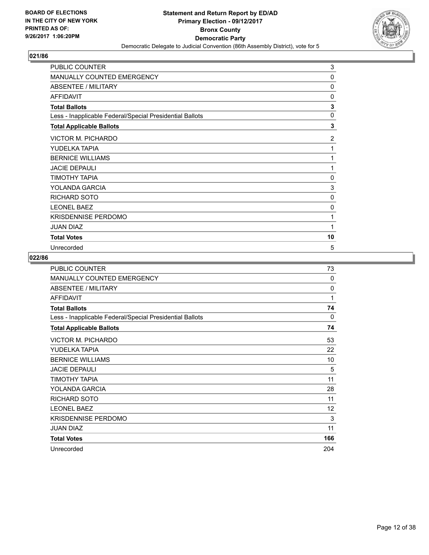

| PUBLIC COUNTER                                           | 3              |
|----------------------------------------------------------|----------------|
| <b>MANUALLY COUNTED EMERGENCY</b>                        | 0              |
| ABSENTEE / MILITARY                                      | 0              |
| <b>AFFIDAVIT</b>                                         | 0              |
| <b>Total Ballots</b>                                     | 3              |
| Less - Inapplicable Federal/Special Presidential Ballots | $\mathbf{0}$   |
| <b>Total Applicable Ballots</b>                          | 3              |
| <b>VICTOR M. PICHARDO</b>                                | $\overline{2}$ |
| YUDELKA TAPIA                                            | 1              |
| <b>BERNICE WILLIAMS</b>                                  | 1              |
| <b>JACIE DEPAULI</b>                                     | 1              |
| ΤΙΜΟΤΗΥ ΤΑΡΙΑ                                            | 0              |
| YOLANDA GARCIA                                           | 3              |
| <b>RICHARD SOTO</b>                                      | 0              |
| <b>LEONEL BAEZ</b>                                       | 0              |
| <b>KRISDENNISE PERDOMO</b>                               | 1              |
| <b>JUAN DIAZ</b>                                         | 1              |
| <b>Total Votes</b>                                       | 10             |
| Unrecorded                                               | 5              |

| PUBLIC COUNTER                                           | 73  |
|----------------------------------------------------------|-----|
| <b>MANUALLY COUNTED EMERGENCY</b>                        | 0   |
| <b>ABSENTEE / MILITARY</b>                               | 0   |
| <b>AFFIDAVIT</b>                                         | 1   |
| <b>Total Ballots</b>                                     | 74  |
| Less - Inapplicable Federal/Special Presidential Ballots | 0   |
| <b>Total Applicable Ballots</b>                          | 74  |
| VICTOR M. PICHARDO                                       | 53  |
| YUDELKA TAPIA                                            | 22  |
| <b>BERNICE WILLIAMS</b>                                  | 10  |
| <b>JACIE DEPAULI</b>                                     | 5   |
| ΤΙΜΟΤΗΥ ΤΑΡΙΑ                                            | 11  |
| YOLANDA GARCIA                                           | 28  |
| RICHARD SOTO                                             | 11  |
| <b>LEONEL BAEZ</b>                                       | 12  |
| <b>KRISDENNISE PERDOMO</b>                               | 3   |
| <b>JUAN DIAZ</b>                                         | 11  |
| <b>Total Votes</b>                                       | 166 |
| Unrecorded                                               | 204 |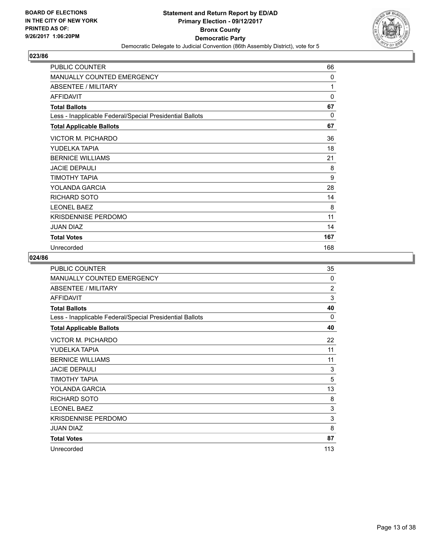

| <b>PUBLIC COUNTER</b>                                    | 66       |
|----------------------------------------------------------|----------|
| <b>MANUALLY COUNTED EMERGENCY</b>                        | 0        |
| <b>ABSENTEE / MILITARY</b>                               | 1        |
| <b>AFFIDAVIT</b>                                         | $\Omega$ |
| <b>Total Ballots</b>                                     | 67       |
| Less - Inapplicable Federal/Special Presidential Ballots | 0        |
| <b>Total Applicable Ballots</b>                          | 67       |
| <b>VICTOR M. PICHARDO</b>                                | 36       |
| YUDELKA TAPIA                                            | 18       |
| <b>BERNICE WILLIAMS</b>                                  | 21       |
| <b>JACIE DEPAULI</b>                                     | 8        |
| TIMOTHY TAPIA                                            | 9        |
| YOLANDA GARCIA                                           | 28       |
| RICHARD SOTO                                             | 14       |
| <b>LEONEL BAEZ</b>                                       | 8        |
| <b>KRISDENNISE PERDOMO</b>                               | 11       |
| <b>JUAN DIAZ</b>                                         | 14       |
| <b>Total Votes</b>                                       | 167      |
| Unrecorded                                               | 168      |

| <b>PUBLIC COUNTER</b>                                    | 35             |
|----------------------------------------------------------|----------------|
| <b>MANUALLY COUNTED EMERGENCY</b>                        | 0              |
| <b>ABSENTEE / MILITARY</b>                               | $\overline{2}$ |
| <b>AFFIDAVIT</b>                                         | 3              |
| <b>Total Ballots</b>                                     | 40             |
| Less - Inapplicable Federal/Special Presidential Ballots | 0              |
| <b>Total Applicable Ballots</b>                          | 40             |
| <b>VICTOR M. PICHARDO</b>                                | 22             |
| YUDELKA TAPIA                                            | 11             |
| <b>BERNICE WILLIAMS</b>                                  | 11             |
| <b>JACIE DEPAULI</b>                                     | 3              |
| TIMOTHY TAPIA                                            | 5              |
| YOLANDA GARCIA                                           | 13             |
| RICHARD SOTO                                             | 8              |
| <b>LEONEL BAEZ</b>                                       | 3              |
| <b>KRISDENNISE PERDOMO</b>                               | 3              |
| <b>JUAN DIAZ</b>                                         | 8              |
| <b>Total Votes</b>                                       | 87             |
| Unrecorded                                               | 113            |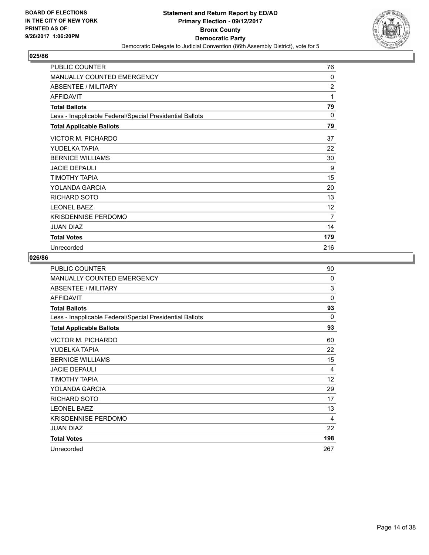

| PUBLIC COUNTER                                           | 76             |
|----------------------------------------------------------|----------------|
| MANUALLY COUNTED EMERGENCY                               | 0              |
| <b>ABSENTEE / MILITARY</b>                               | $\overline{c}$ |
| <b>AFFIDAVIT</b>                                         | 1              |
| <b>Total Ballots</b>                                     | 79             |
| Less - Inapplicable Federal/Special Presidential Ballots | $\Omega$       |
| <b>Total Applicable Ballots</b>                          | 79             |
| VICTOR M. PICHARDO                                       | 37             |
| YUDELKA TAPIA                                            | 22             |
| <b>BERNICE WILLIAMS</b>                                  | 30             |
| <b>JACIE DEPAULI</b>                                     | 9              |
| TIMOTHY TAPIA                                            | 15             |
| YOLANDA GARCIA                                           | 20             |
| <b>RICHARD SOTO</b>                                      | 13             |
| <b>LEONEL BAEZ</b>                                       | 12             |
| <b>KRISDENNISE PERDOMO</b>                               | 7              |
| <b>JUAN DIAZ</b>                                         | 14             |
| <b>Total Votes</b>                                       | 179            |
| Unrecorded                                               | 216            |

| <b>PUBLIC COUNTER</b>                                    | 90       |
|----------------------------------------------------------|----------|
| <b>MANUALLY COUNTED EMERGENCY</b>                        | 0        |
| <b>ABSENTEE / MILITARY</b>                               | 3        |
| <b>AFFIDAVIT</b>                                         | $\Omega$ |
| <b>Total Ballots</b>                                     | 93       |
| Less - Inapplicable Federal/Special Presidential Ballots | 0        |
| <b>Total Applicable Ballots</b>                          | 93       |
| VICTOR M. PICHARDO                                       | 60       |
| YUDELKA TAPIA                                            | 22       |
| <b>BERNICE WILLIAMS</b>                                  | 15       |
| <b>JACIE DEPAULI</b>                                     | 4        |
| TIMOTHY TAPIA                                            | 12       |
| YOLANDA GARCIA                                           | 29       |
| RICHARD SOTO                                             | 17       |
| <b>LEONEL BAEZ</b>                                       | 13       |
| <b>KRISDENNISE PERDOMO</b>                               | 4        |
| <b>JUAN DIAZ</b>                                         | 22       |
| <b>Total Votes</b>                                       | 198      |
| Unrecorded                                               | 267      |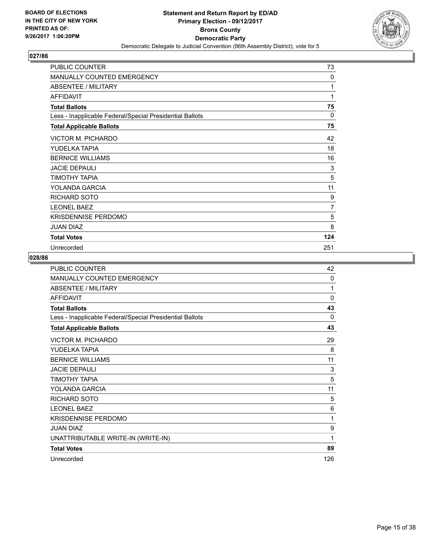

| PUBLIC COUNTER                                           | 73             |
|----------------------------------------------------------|----------------|
| <b>MANUALLY COUNTED EMERGENCY</b>                        | 0              |
| <b>ABSENTEE / MILITARY</b>                               | 1              |
| <b>AFFIDAVIT</b>                                         | 1              |
| <b>Total Ballots</b>                                     | 75             |
| Less - Inapplicable Federal/Special Presidential Ballots | $\Omega$       |
| <b>Total Applicable Ballots</b>                          | 75             |
| VICTOR M. PICHARDO                                       | 42             |
| YUDELKA TAPIA                                            | 18             |
| <b>BERNICE WILLIAMS</b>                                  | 16             |
| <b>JACIE DEPAULI</b>                                     | 3              |
| TIMOTHY TAPIA                                            | 5              |
| YOLANDA GARCIA                                           | 11             |
| <b>RICHARD SOTO</b>                                      | 9              |
| <b>LEONEL BAEZ</b>                                       | $\overline{7}$ |
| <b>KRISDENNISE PERDOMO</b>                               | 5              |
| <b>JUAN DIAZ</b>                                         | 8              |
| <b>Total Votes</b>                                       | 124            |
| Unrecorded                                               | 251            |

| <b>PUBLIC COUNTER</b>                                    | 42       |
|----------------------------------------------------------|----------|
| MANUALLY COUNTED EMERGENCY                               | $\Omega$ |
| ABSENTEE / MILITARY                                      | 1        |
| <b>AFFIDAVIT</b>                                         | $\Omega$ |
| <b>Total Ballots</b>                                     | 43       |
| Less - Inapplicable Federal/Special Presidential Ballots | 0        |
| <b>Total Applicable Ballots</b>                          | 43       |
| <b>VICTOR M. PICHARDO</b>                                | 29       |
| YUDELKA TAPIA                                            | 8        |
| <b>BERNICE WILLIAMS</b>                                  | 11       |
| <b>JACIE DEPAULI</b>                                     | 3        |
| ΤΙΜΟΤΗΥ ΤΑΡΙΑ                                            | 5        |
| YOLANDA GARCIA                                           | 11       |
| <b>RICHARD SOTO</b>                                      | 5        |
| <b>LEONEL BAEZ</b>                                       | 6        |
| <b>KRISDENNISE PERDOMO</b>                               | 1        |
| <b>JUAN DIAZ</b>                                         | 9        |
| UNATTRIBUTABLE WRITE-IN (WRITE-IN)                       | 1        |
| <b>Total Votes</b>                                       | 89       |
| Unrecorded                                               | 126      |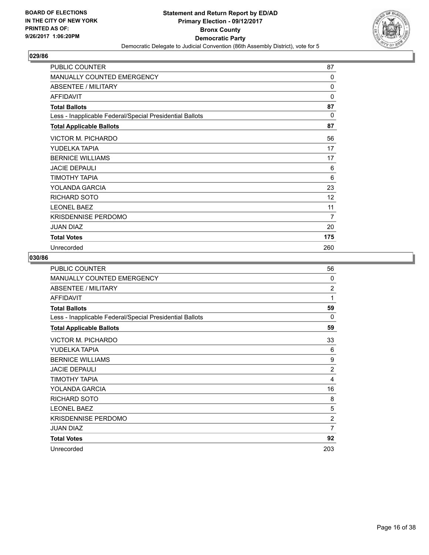

| PUBLIC COUNTER                                           | 87       |
|----------------------------------------------------------|----------|
| <b>MANUALLY COUNTED EMERGENCY</b>                        | 0        |
| <b>ABSENTEE / MILITARY</b>                               | $\Omega$ |
| <b>AFFIDAVIT</b>                                         | 0        |
| <b>Total Ballots</b>                                     | 87       |
| Less - Inapplicable Federal/Special Presidential Ballots | $\Omega$ |
| <b>Total Applicable Ballots</b>                          | 87       |
| <b>VICTOR M. PICHARDO</b>                                | 56       |
| YUDELKA TAPIA                                            | 17       |
| <b>BERNICE WILLIAMS</b>                                  | 17       |
| <b>JACIE DEPAULI</b>                                     | 6        |
| TIMOTHY TAPIA                                            | 6        |
| YOLANDA GARCIA                                           | 23       |
| RICHARD SOTO                                             | 12       |
| <b>LEONEL BAEZ</b>                                       | 11       |
| <b>KRISDENNISE PERDOMO</b>                               | 7        |
| <b>JUAN DIAZ</b>                                         | 20       |
| <b>Total Votes</b>                                       | 175      |
| Unrecorded                                               | 260      |

| PUBLIC COUNTER                                           | 56             |
|----------------------------------------------------------|----------------|
| <b>MANUALLY COUNTED EMERGENCY</b>                        | 0              |
| <b>ABSENTEE / MILITARY</b>                               | $\overline{2}$ |
| <b>AFFIDAVIT</b>                                         | 1              |
| <b>Total Ballots</b>                                     | 59             |
| Less - Inapplicable Federal/Special Presidential Ballots | 0              |
| <b>Total Applicable Ballots</b>                          | 59             |
| <b>VICTOR M. PICHARDO</b>                                | 33             |
| YUDELKA TAPIA                                            | 6              |
| <b>BERNICE WILLIAMS</b>                                  | 9              |
| <b>JACIE DEPAULI</b>                                     | $\overline{2}$ |
| ΤΙΜΟΤΗΥ ΤΑΡΙΑ                                            | 4              |
| YOLANDA GARCIA                                           | 16             |
| RICHARD SOTO                                             | 8              |
| <b>LEONEL BAEZ</b>                                       | 5              |
| <b>KRISDENNISE PERDOMO</b>                               | $\overline{2}$ |
| <b>JUAN DIAZ</b>                                         | $\overline{7}$ |
| <b>Total Votes</b>                                       | 92             |
| Unrecorded                                               | 203            |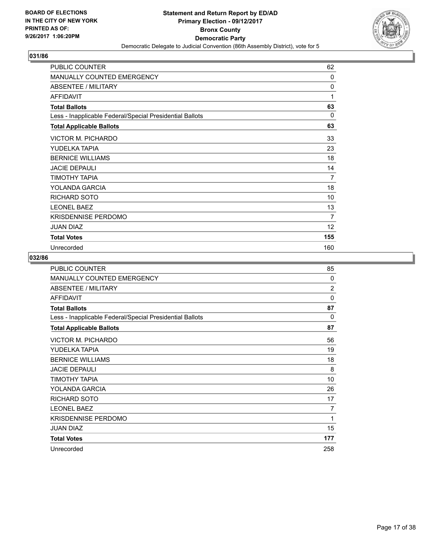

| <b>PUBLIC COUNTER</b>                                    | 62       |
|----------------------------------------------------------|----------|
| <b>MANUALLY COUNTED EMERGENCY</b>                        | 0        |
| ABSENTEE / MILITARY                                      | 0        |
| <b>AFFIDAVIT</b>                                         | 1        |
| <b>Total Ballots</b>                                     | 63       |
| Less - Inapplicable Federal/Special Presidential Ballots | $\Omega$ |
| <b>Total Applicable Ballots</b>                          | 63       |
| VICTOR M. PICHARDO                                       | 33       |
| YUDELKA TAPIA                                            | 23       |
| <b>BERNICE WILLIAMS</b>                                  | 18       |
| <b>JACIE DEPAULI</b>                                     | 14       |
| TIMOTHY TAPIA                                            | 7        |
| YOLANDA GARCIA                                           | 18       |
| RICHARD SOTO                                             | 10       |
| <b>LEONEL BAEZ</b>                                       | 13       |
| <b>KRISDENNISE PERDOMO</b>                               | 7        |
| <b>JUAN DIAZ</b>                                         | 12       |
| <b>Total Votes</b>                                       | 155      |
| Unrecorded                                               | 160      |

| <b>PUBLIC COUNTER</b>                                    | 85             |
|----------------------------------------------------------|----------------|
| <b>MANUALLY COUNTED EMERGENCY</b>                        | $\Omega$       |
| <b>ABSENTEE / MILITARY</b>                               | $\overline{2}$ |
| <b>AFFIDAVIT</b>                                         | $\Omega$       |
| <b>Total Ballots</b>                                     | 87             |
| Less - Inapplicable Federal/Special Presidential Ballots | 0              |
| <b>Total Applicable Ballots</b>                          | 87             |
| VICTOR M. PICHARDO                                       | 56             |
| YUDELKA TAPIA                                            | 19             |
| <b>BERNICE WILLIAMS</b>                                  | 18             |
| <b>JACIE DEPAULI</b>                                     | 8              |
| ΤΙΜΟΤΗΥ ΤΑΡΙΑ                                            | 10             |
| YOLANDA GARCIA                                           | 26             |
| <b>RICHARD SOTO</b>                                      | 17             |
| <b>LEONEL BAEZ</b>                                       | 7              |
| <b>KRISDENNISE PERDOMO</b>                               | 1              |
| <b>JUAN DIAZ</b>                                         | 15             |
| <b>Total Votes</b>                                       | 177            |
| Unrecorded                                               | 258            |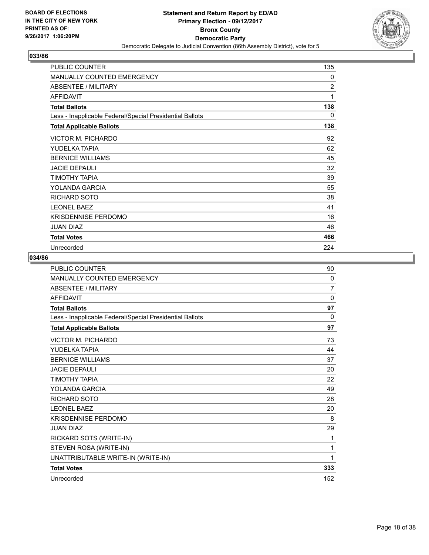

| <b>PUBLIC COUNTER</b>                                    | 135            |
|----------------------------------------------------------|----------------|
| <b>MANUALLY COUNTED EMERGENCY</b>                        | 0              |
| <b>ABSENTEE / MILITARY</b>                               | $\overline{2}$ |
| <b>AFFIDAVIT</b>                                         | 1              |
| <b>Total Ballots</b>                                     | 138            |
| Less - Inapplicable Federal/Special Presidential Ballots | 0              |
| <b>Total Applicable Ballots</b>                          | 138            |
| VICTOR M. PICHARDO                                       | 92             |
| YUDELKA TAPIA                                            | 62             |
| <b>BERNICE WILLIAMS</b>                                  | 45             |
| <b>JACIE DEPAULI</b>                                     | 32             |
| TIMOTHY TAPIA                                            | 39             |
| YOLANDA GARCIA                                           | 55             |
| <b>RICHARD SOTO</b>                                      | 38             |
| <b>LEONEL BAEZ</b>                                       | 41             |
| KRISDENNISE PERDOMO                                      | 16             |
| <b>JUAN DIAZ</b>                                         | 46             |
| <b>Total Votes</b>                                       | 466            |
| Unrecorded                                               | 224            |

| <b>PUBLIC COUNTER</b>                                    | 90             |
|----------------------------------------------------------|----------------|
| <b>MANUALLY COUNTED EMERGENCY</b>                        | $\mathbf{0}$   |
| <b>ABSENTEE / MILITARY</b>                               | $\overline{7}$ |
| <b>AFFIDAVIT</b>                                         | $\Omega$       |
| <b>Total Ballots</b>                                     | 97             |
| Less - Inapplicable Federal/Special Presidential Ballots | $\Omega$       |
| <b>Total Applicable Ballots</b>                          | 97             |
| <b>VICTOR M. PICHARDO</b>                                | 73             |
| YUDELKA TAPIA                                            | 44             |
| <b>BERNICE WILLIAMS</b>                                  | 37             |
| <b>JACIE DEPAULI</b>                                     | 20             |
| ΤΙΜΟΤΗΥ ΤΑΡΙΑ                                            | 22             |
| YOLANDA GARCIA                                           | 49             |
| <b>RICHARD SOTO</b>                                      | 28             |
| <b>LEONEL BAEZ</b>                                       | 20             |
| <b>KRISDENNISE PERDOMO</b>                               | 8              |
| <b>JUAN DIAZ</b>                                         | 29             |
| RICKARD SOTS (WRITE-IN)                                  | 1              |
| STEVEN ROSA (WRITE-IN)                                   | 1              |
| UNATTRIBUTABLE WRITE-IN (WRITE-IN)                       | 1              |
| <b>Total Votes</b>                                       | 333            |
| Unrecorded                                               | 152            |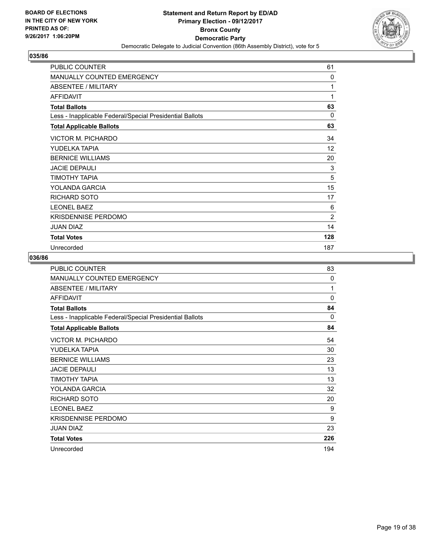

| PUBLIC COUNTER                                           | 61             |
|----------------------------------------------------------|----------------|
| MANUALLY COUNTED EMERGENCY                               | 0              |
| <b>ABSENTEE / MILITARY</b>                               | 1              |
| <b>AFFIDAVIT</b>                                         | 1              |
| <b>Total Ballots</b>                                     | 63             |
| Less - Inapplicable Federal/Special Presidential Ballots | $\Omega$       |
| <b>Total Applicable Ballots</b>                          | 63             |
| <b>VICTOR M. PICHARDO</b>                                | 34             |
| YUDELKA TAPIA                                            | 12             |
| <b>BERNICE WILLIAMS</b>                                  | 20             |
| <b>JACIE DEPAULI</b>                                     | 3              |
| TIMOTHY TAPIA                                            | 5              |
| YOLANDA GARCIA                                           | 15             |
| <b>RICHARD SOTO</b>                                      | 17             |
| <b>LEONEL BAEZ</b>                                       | 6              |
| <b>KRISDENNISE PERDOMO</b>                               | $\overline{2}$ |
| <b>JUAN DIAZ</b>                                         | 14             |
| <b>Total Votes</b>                                       | 128            |
| Unrecorded                                               | 187            |

| <b>PUBLIC COUNTER</b>                                    | 83       |
|----------------------------------------------------------|----------|
| <b>MANUALLY COUNTED EMERGENCY</b>                        | $\Omega$ |
| <b>ABSENTEE / MILITARY</b>                               | 1        |
| <b>AFFIDAVIT</b>                                         | $\Omega$ |
| <b>Total Ballots</b>                                     | 84       |
| Less - Inapplicable Federal/Special Presidential Ballots | 0        |
| <b>Total Applicable Ballots</b>                          | 84       |
| VICTOR M. PICHARDO                                       | 54       |
| YUDELKA TAPIA                                            | 30       |
| <b>BERNICE WILLIAMS</b>                                  | 23       |
| <b>JACIE DEPAULI</b>                                     | 13       |
| ΤΙΜΟΤΗΥ ΤΑΡΙΑ                                            | 13       |
| YOLANDA GARCIA                                           | 32       |
| RICHARD SOTO                                             | 20       |
| <b>LEONEL BAEZ</b>                                       | 9        |
| <b>KRISDENNISE PERDOMO</b>                               | 9        |
| <b>JUAN DIAZ</b>                                         | 23       |
| <b>Total Votes</b>                                       | 226      |
| Unrecorded                                               | 194      |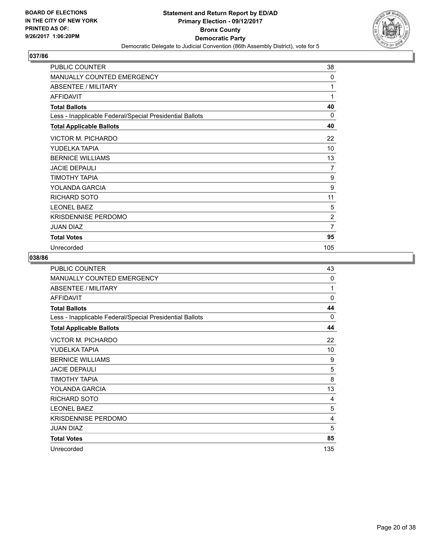

| PUBLIC COUNTER                                           | 38             |
|----------------------------------------------------------|----------------|
| MANUALLY COUNTED EMERGENCY                               | 0              |
| ABSENTEE / MILITARY                                      | 1              |
| <b>AFFIDAVIT</b>                                         | 1              |
| <b>Total Ballots</b>                                     | 40             |
| Less - Inapplicable Federal/Special Presidential Ballots | 0              |
| <b>Total Applicable Ballots</b>                          | 40             |
| <b>VICTOR M. PICHARDO</b>                                | 22             |
| YUDELKA TAPIA                                            | 10             |
| <b>BERNICE WILLIAMS</b>                                  | 13             |
| <b>JACIE DEPAULI</b>                                     | 7              |
| TIMOTHY TAPIA                                            | 9              |
| YOLANDA GARCIA                                           | 9              |
| <b>RICHARD SOTO</b>                                      | 11             |
| <b>LEONEL BAEZ</b>                                       | 5              |
| <b>KRISDENNISE PERDOMO</b>                               | $\overline{2}$ |
| <b>JUAN DIAZ</b>                                         | 7              |
| <b>Total Votes</b>                                       | 95             |
| Unrecorded                                               | 105            |

| PUBLIC COUNTER                                           | 43       |
|----------------------------------------------------------|----------|
| <b>MANUALLY COUNTED EMERGENCY</b>                        | 0        |
| ABSENTEE / MILITARY                                      | 1        |
| <b>AFFIDAVIT</b>                                         | $\Omega$ |
| <b>Total Ballots</b>                                     | 44       |
| Less - Inapplicable Federal/Special Presidential Ballots | 0        |
| <b>Total Applicable Ballots</b>                          | 44       |
| VICTOR M. PICHARDO                                       | 22       |
| YUDELKA TAPIA                                            | 10       |
| <b>BERNICE WILLIAMS</b>                                  | 9        |
| <b>JACIE DEPAULI</b>                                     | 5        |
| ΤΙΜΟΤΗΥ ΤΑΡΙΑ                                            | 8        |
| YOLANDA GARCIA                                           | 13       |
| RICHARD SOTO                                             | 4        |
| <b>LEONEL BAEZ</b>                                       | 5        |
| <b>KRISDENNISE PERDOMO</b>                               | 4        |
| <b>JUAN DIAZ</b>                                         | 5        |
| <b>Total Votes</b>                                       | 85       |
| Unrecorded                                               | 135      |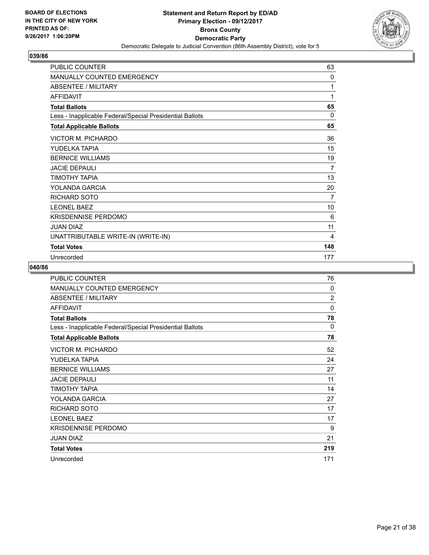

| <b>PUBLIC COUNTER</b>                                    | 63           |
|----------------------------------------------------------|--------------|
| <b>MANUALLY COUNTED EMERGENCY</b>                        | $\mathbf{0}$ |
| ABSENTEE / MILITARY                                      | 1            |
| <b>AFFIDAVIT</b>                                         | 1            |
| <b>Total Ballots</b>                                     | 65           |
| Less - Inapplicable Federal/Special Presidential Ballots | $\Omega$     |
| <b>Total Applicable Ballots</b>                          | 65           |
| VICTOR M. PICHARDO                                       | 36           |
| YUDELKA TAPIA                                            | 15           |
| <b>BERNICE WILLIAMS</b>                                  | 19           |
| <b>JACIE DEPAULI</b>                                     | 7            |
| ΤΙΜΟΤΗΥ ΤΑΡΙΑ                                            | 13           |
| YOLANDA GARCIA                                           | 20           |
| RICHARD SOTO                                             | 7            |
| <b>LEONEL BAEZ</b>                                       | 10           |
| KRISDENNISE PERDOMO                                      | 6            |
| <b>JUAN DIAZ</b>                                         | 11           |
| UNATTRIBUTABLE WRITE-IN (WRITE-IN)                       | 4            |
| <b>Total Votes</b>                                       | 148          |
| Unrecorded                                               | 177          |

| <b>PUBLIC COUNTER</b>                                    | 76             |
|----------------------------------------------------------|----------------|
| MANUALLY COUNTED EMERGENCY                               | $\Omega$       |
| ABSENTEE / MILITARY                                      | $\overline{2}$ |
| <b>AFFIDAVIT</b>                                         | 0              |
| <b>Total Ballots</b>                                     | 78             |
| Less - Inapplicable Federal/Special Presidential Ballots | $\Omega$       |
| <b>Total Applicable Ballots</b>                          | 78             |
| VICTOR M. PICHARDO                                       | 52             |
| YUDELKA TAPIA                                            | 24             |
| <b>BERNICE WILLIAMS</b>                                  | 27             |
| <b>JACIE DEPAULI</b>                                     | 11             |
| ΤΙΜΟΤΗΥ ΤΑΡΙΑ                                            | 14             |
| YOLANDA GARCIA                                           | 27             |
| <b>RICHARD SOTO</b>                                      | 17             |
| <b>LEONEL BAEZ</b>                                       | 17             |
| <b>KRISDENNISE PERDOMO</b>                               | 9              |
| <b>JUAN DIAZ</b>                                         | 21             |
| <b>Total Votes</b>                                       | 219            |
| Unrecorded                                               | 171            |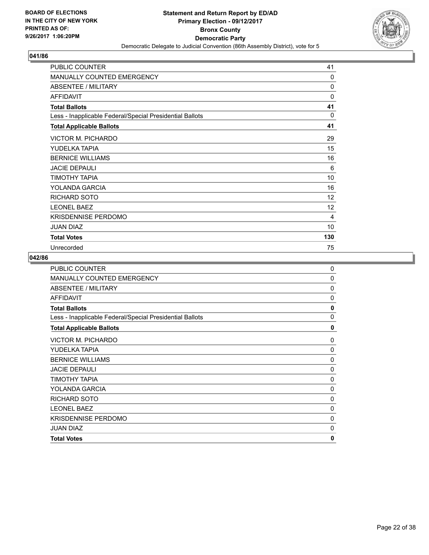

| <b>PUBLIC COUNTER</b>                                    | 41  |
|----------------------------------------------------------|-----|
| <b>MANUALLY COUNTED EMERGENCY</b>                        | 0   |
| <b>ABSENTEE / MILITARY</b>                               | 0   |
| <b>AFFIDAVIT</b>                                         | 0   |
| <b>Total Ballots</b>                                     | 41  |
| Less - Inapplicable Federal/Special Presidential Ballots | 0   |
| <b>Total Applicable Ballots</b>                          | 41  |
| VICTOR M. PICHARDO                                       | 29  |
| YUDELKA TAPIA                                            | 15  |
| <b>BERNICE WILLIAMS</b>                                  | 16  |
| <b>JACIE DEPAULI</b>                                     | 6   |
| TIMOTHY TAPIA                                            | 10  |
| YOLANDA GARCIA                                           | 16  |
| <b>RICHARD SOTO</b>                                      | 12  |
| <b>LEONEL BAEZ</b>                                       | 12  |
| <b>KRISDENNISE PERDOMO</b>                               | 4   |
| <b>JUAN DIAZ</b>                                         | 10  |
| <b>Total Votes</b>                                       | 130 |
| Unrecorded                                               | 75  |

| <b>PUBLIC COUNTER</b>                                    | $\Omega$     |
|----------------------------------------------------------|--------------|
| MANUALLY COUNTED EMERGENCY                               | 0            |
| ABSENTEE / MILITARY                                      | 0            |
| <b>AFFIDAVIT</b>                                         | $\mathbf 0$  |
| <b>Total Ballots</b>                                     | 0            |
| Less - Inapplicable Federal/Special Presidential Ballots | $\Omega$     |
| <b>Total Applicable Ballots</b>                          | 0            |
| <b>VICTOR M. PICHARDO</b>                                | 0            |
| YUDELKA TAPIA                                            | 0            |
| <b>BERNICE WILLIAMS</b>                                  | 0            |
| <b>JACIE DEPAULI</b>                                     | 0            |
| <b>TIMOTHY TAPIA</b>                                     | 0            |
| YOLANDA GARCIA                                           | 0            |
| <b>RICHARD SOTO</b>                                      | 0            |
| <b>LEONEL BAEZ</b>                                       | 0            |
| <b>KRISDENNISE PERDOMO</b>                               | 0            |
| <b>JUAN DIAZ</b>                                         | 0            |
| <b>Total Votes</b>                                       | $\mathbf{0}$ |
|                                                          |              |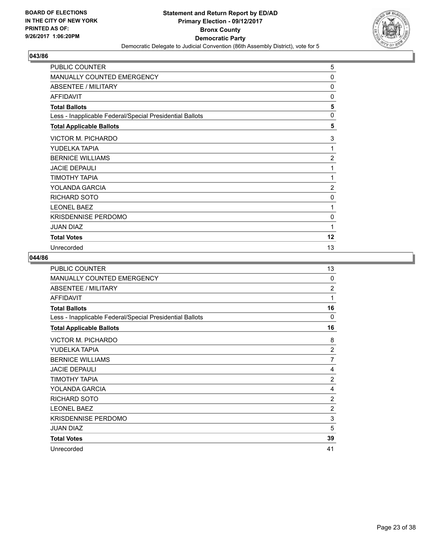

| PUBLIC COUNTER                                           | 5              |
|----------------------------------------------------------|----------------|
| <b>MANUALLY COUNTED EMERGENCY</b>                        | 0              |
| ABSENTEE / MILITARY                                      | 0              |
| <b>AFFIDAVIT</b>                                         | 0              |
| <b>Total Ballots</b>                                     | 5              |
| Less - Inapplicable Federal/Special Presidential Ballots | $\mathbf 0$    |
| <b>Total Applicable Ballots</b>                          | 5              |
| <b>VICTOR M. PICHARDO</b>                                | 3              |
| YUDELKA TAPIA                                            | 1              |
| <b>BERNICE WILLIAMS</b>                                  | $\overline{2}$ |
| <b>JACIE DEPAULI</b>                                     | 1              |
| TIMOTHY TAPIA                                            | 1              |
| YOLANDA GARCIA                                           | $\overline{2}$ |
| <b>RICHARD SOTO</b>                                      | 0              |
| <b>LEONEL BAEZ</b>                                       | 1              |
| <b>KRISDENNISE PERDOMO</b>                               | 0              |
| <b>JUAN DIAZ</b>                                         | 1              |
| <b>Total Votes</b>                                       | 12             |
| Unrecorded                                               | 13             |

| PUBLIC COUNTER                                           | 13             |
|----------------------------------------------------------|----------------|
| <b>MANUALLY COUNTED EMERGENCY</b>                        | 0              |
| ABSENTEE / MILITARY                                      | 2              |
| <b>AFFIDAVIT</b>                                         | 1              |
| <b>Total Ballots</b>                                     | 16             |
| Less - Inapplicable Federal/Special Presidential Ballots | 0              |
| <b>Total Applicable Ballots</b>                          | 16             |
| <b>VICTOR M. PICHARDO</b>                                | 8              |
| YUDELKA TAPIA                                            | $\overline{2}$ |
| <b>BERNICE WILLIAMS</b>                                  | 7              |
| <b>JACIE DEPAULI</b>                                     | 4              |
| ΤΙΜΟΤΗΥ ΤΑΡΙΑ                                            | $\overline{2}$ |
| YOLANDA GARCIA                                           | 4              |
| RICHARD SOTO                                             | 2              |
| <b>LEONEL BAEZ</b>                                       | $\overline{2}$ |
| <b>KRISDENNISE PERDOMO</b>                               | 3              |
| <b>JUAN DIAZ</b>                                         | 5              |
| <b>Total Votes</b>                                       | 39             |
| Unrecorded                                               | 41             |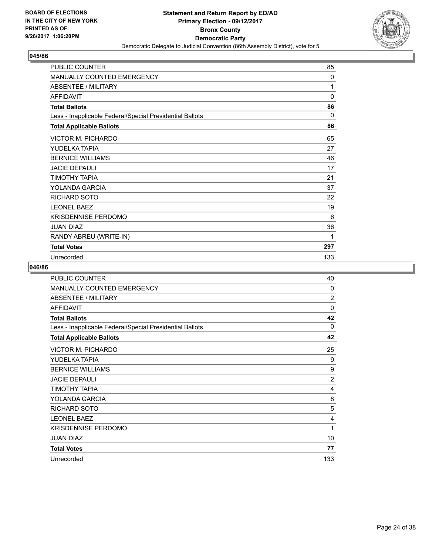

| <b>PUBLIC COUNTER</b>                                    | 85           |
|----------------------------------------------------------|--------------|
| <b>MANUALLY COUNTED EMERGENCY</b>                        | $\mathbf{0}$ |
| <b>ABSENTEE / MILITARY</b>                               | 1            |
| <b>AFFIDAVIT</b>                                         | $\mathbf{0}$ |
| <b>Total Ballots</b>                                     | 86           |
| Less - Inapplicable Federal/Special Presidential Ballots | $\Omega$     |
| <b>Total Applicable Ballots</b>                          | 86           |
| VICTOR M. PICHARDO                                       | 65           |
| YUDELKA TAPIA                                            | 27           |
| <b>BERNICE WILLIAMS</b>                                  | 46           |
| <b>JACIE DEPAULI</b>                                     | 17           |
| ΤΙΜΟΤΗΥ ΤΑΡΙΑ                                            | 21           |
| YOLANDA GARCIA                                           | 37           |
| <b>RICHARD SOTO</b>                                      | 22           |
| <b>LEONEL BAEZ</b>                                       | 19           |
| <b>KRISDENNISE PERDOMO</b>                               | 6            |
| <b>JUAN DIAZ</b>                                         | 36           |
| RANDY ABREU (WRITE-IN)                                   | 1            |
| <b>Total Votes</b>                                       | 297          |
| Unrecorded                                               | 133          |

| <b>PUBLIC COUNTER</b>                                    | 40             |
|----------------------------------------------------------|----------------|
| MANUALLY COUNTED EMERGENCY                               | $\Omega$       |
| ABSENTEE / MILITARY                                      | $\overline{2}$ |
| <b>AFFIDAVIT</b>                                         | 0              |
| <b>Total Ballots</b>                                     | 42             |
| Less - Inapplicable Federal/Special Presidential Ballots | $\Omega$       |
| <b>Total Applicable Ballots</b>                          | 42             |
| VICTOR M. PICHARDO                                       | 25             |
| YUDELKA TAPIA                                            | 9              |
| <b>BERNICE WILLIAMS</b>                                  | 9              |
| <b>JACIE DEPAULI</b>                                     | $\overline{2}$ |
| ΤΙΜΟΤΗΥ ΤΑΡΙΑ                                            | 4              |
| YOLANDA GARCIA                                           | 8              |
| <b>RICHARD SOTO</b>                                      | 5              |
| <b>LEONEL BAEZ</b>                                       | 4              |
| <b>KRISDENNISE PERDOMO</b>                               | 1              |
| <b>JUAN DIAZ</b>                                         | 10             |
| <b>Total Votes</b>                                       | 77             |
| Unrecorded                                               | 133            |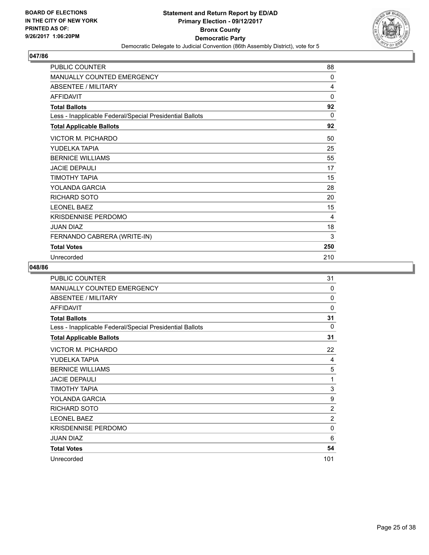

| <b>PUBLIC COUNTER</b>                                    | 88           |
|----------------------------------------------------------|--------------|
| MANUALLY COUNTED EMERGENCY                               | 0            |
| ABSENTEE / MILITARY                                      | 4            |
| <b>AFFIDAVIT</b>                                         | $\mathbf{0}$ |
| <b>Total Ballots</b>                                     | 92           |
| Less - Inapplicable Federal/Special Presidential Ballots | $\Omega$     |
| <b>Total Applicable Ballots</b>                          | 92           |
| VICTOR M. PICHARDO                                       | 50           |
| YUDELKA TAPIA                                            | 25           |
| <b>BERNICE WILLIAMS</b>                                  | 55           |
| <b>JACIE DEPAULI</b>                                     | 17           |
| TIMOTHY TAPIA                                            | 15           |
| YOLANDA GARCIA                                           | 28           |
| RICHARD SOTO                                             | 20           |
| <b>LEONEL BAEZ</b>                                       | 15           |
| KRISDENNISE PERDOMO                                      | 4            |
| <b>JUAN DIAZ</b>                                         | 18           |
| FERNANDO CABRERA (WRITE-IN)                              | 3            |
| <b>Total Votes</b>                                       | 250          |
| Unrecorded                                               | 210          |

| <b>PUBLIC COUNTER</b>                                    | 31             |
|----------------------------------------------------------|----------------|
| MANUALLY COUNTED EMERGENCY                               | $\Omega$       |
| ABSENTEE / MILITARY                                      | 0              |
| <b>AFFIDAVIT</b>                                         | 0              |
| <b>Total Ballots</b>                                     | 31             |
| Less - Inapplicable Federal/Special Presidential Ballots | $\Omega$       |
| <b>Total Applicable Ballots</b>                          | 31             |
| <b>VICTOR M. PICHARDO</b>                                | 22             |
| YUDELKA TAPIA                                            | 4              |
| <b>BERNICE WILLIAMS</b>                                  | 5              |
| <b>JACIE DEPAULI</b>                                     | 1              |
| ΤΙΜΟΤΗΥ ΤΑΡΙΑ                                            | 3              |
| YOLANDA GARCIA                                           | 9              |
| <b>RICHARD SOTO</b>                                      | $\overline{2}$ |
| <b>LEONEL BAEZ</b>                                       | $\overline{2}$ |
| <b>KRISDENNISE PERDOMO</b>                               | 0              |
| JUAN DIAZ                                                | 6              |
| <b>Total Votes</b>                                       | 54             |
| Unrecorded                                               | 101            |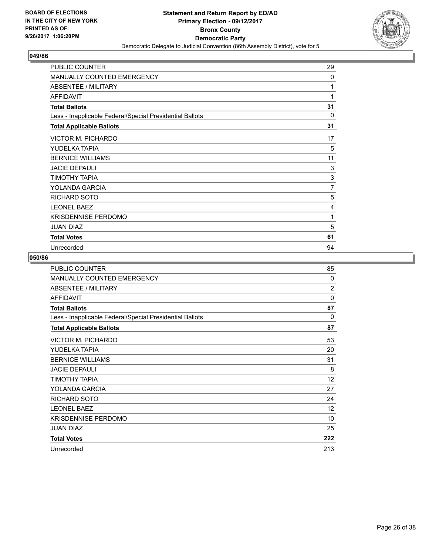

| <b>PUBLIC COUNTER</b>                                    | 29       |
|----------------------------------------------------------|----------|
| <b>MANUALLY COUNTED EMERGENCY</b>                        | $\Omega$ |
| ABSENTEE / MILITARY                                      | 1        |
| <b>AFFIDAVIT</b>                                         | 1        |
| <b>Total Ballots</b>                                     | 31       |
| Less - Inapplicable Federal/Special Presidential Ballots | $\Omega$ |
| <b>Total Applicable Ballots</b>                          | 31       |
| VICTOR M. PICHARDO                                       | 17       |
| YUDELKA TAPIA                                            | 5        |
| <b>BERNICE WILLIAMS</b>                                  | 11       |
| <b>JACIE DEPAULI</b>                                     | 3        |
| TIMOTHY TAPIA                                            | 3        |
| YOLANDA GARCIA                                           | 7        |
| RICHARD SOTO                                             | 5        |
| <b>LEONEL BAEZ</b>                                       | 4        |
| <b>KRISDENNISE PERDOMO</b>                               | 1        |
| <b>JUAN DIAZ</b>                                         | 5        |
| <b>Total Votes</b>                                       | 61       |
| Unrecorded                                               | 94       |

| <b>PUBLIC COUNTER</b>                                    | 85             |
|----------------------------------------------------------|----------------|
| <b>MANUALLY COUNTED EMERGENCY</b>                        | $\Omega$       |
| <b>ABSENTEE / MILITARY</b>                               | $\overline{2}$ |
| <b>AFFIDAVIT</b>                                         | $\Omega$       |
| <b>Total Ballots</b>                                     | 87             |
| Less - Inapplicable Federal/Special Presidential Ballots | 0              |
| <b>Total Applicable Ballots</b>                          | 87             |
| VICTOR M. PICHARDO                                       | 53             |
| YUDELKA TAPIA                                            | 20             |
| <b>BERNICE WILLIAMS</b>                                  | 31             |
| <b>JACIE DEPAULI</b>                                     | 8              |
| ΤΙΜΟΤΗΥ ΤΑΡΙΑ                                            | 12             |
| YOLANDA GARCIA                                           | 27             |
| RICHARD SOTO                                             | 24             |
| <b>LEONEL BAEZ</b>                                       | 12             |
| <b>KRISDENNISE PERDOMO</b>                               | 10             |
| <b>JUAN DIAZ</b>                                         | 25             |
| <b>Total Votes</b>                                       | 222            |
| Unrecorded                                               | 213            |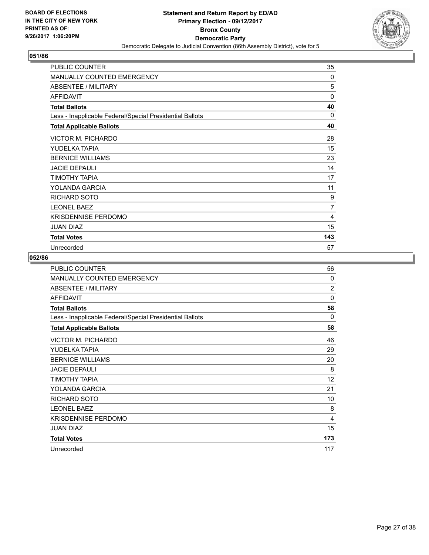

| PUBLIC COUNTER                                           | 35             |
|----------------------------------------------------------|----------------|
| <b>MANUALLY COUNTED EMERGENCY</b>                        | 0              |
| ABSENTEE / MILITARY                                      | 5              |
| <b>AFFIDAVIT</b>                                         | 0              |
| <b>Total Ballots</b>                                     | 40             |
| Less - Inapplicable Federal/Special Presidential Ballots | $\Omega$       |
| <b>Total Applicable Ballots</b>                          | 40             |
| VICTOR M. PICHARDO                                       | 28             |
| YUDELKA TAPIA                                            | 15             |
| <b>BERNICE WILLIAMS</b>                                  | 23             |
| <b>JACIE DEPAULI</b>                                     | 14             |
| ΤΙΜΟΤΗΥ ΤΑΡΙΑ                                            | 17             |
| YOLANDA GARCIA                                           | 11             |
| RICHARD SOTO                                             | 9              |
| <b>LEONEL BAEZ</b>                                       | $\overline{7}$ |
| <b>KRISDENNISE PERDOMO</b>                               | 4              |
| JUAN DIAZ                                                | 15             |
| <b>Total Votes</b>                                       | 143            |
| Unrecorded                                               | 57             |

| PUBLIC COUNTER                                           | 56             |
|----------------------------------------------------------|----------------|
| <b>MANUALLY COUNTED EMERGENCY</b>                        | 0              |
| ABSENTEE / MILITARY                                      | $\overline{2}$ |
| <b>AFFIDAVIT</b>                                         | 0              |
| <b>Total Ballots</b>                                     | 58             |
| Less - Inapplicable Federal/Special Presidential Ballots | 0              |
| <b>Total Applicable Ballots</b>                          | 58             |
| <b>VICTOR M. PICHARDO</b>                                | 46             |
| YUDELKA TAPIA                                            | 29             |
| <b>BERNICE WILLIAMS</b>                                  | 20             |
| <b>JACIE DEPAULI</b>                                     | 8              |
| ΤΙΜΟΤΗΥ ΤΑΡΙΑ                                            | 12             |
| YOLANDA GARCIA                                           | 21             |
| <b>RICHARD SOTO</b>                                      | 10             |
| <b>LEONEL BAEZ</b>                                       | 8              |
| <b>KRISDENNISE PERDOMO</b>                               | 4              |
| <b>JUAN DIAZ</b>                                         | 15             |
| <b>Total Votes</b>                                       | 173            |
| Unrecorded                                               | 117            |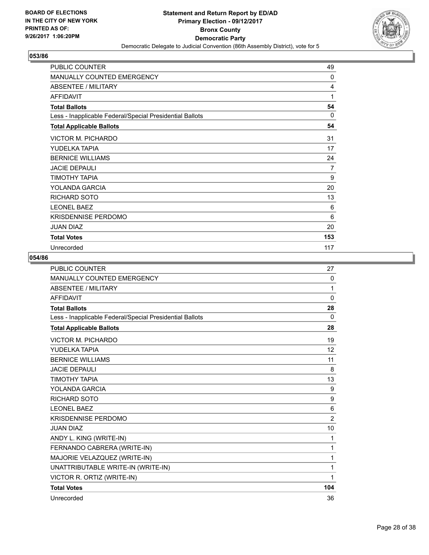

| PUBLIC COUNTER                                           | 49             |
|----------------------------------------------------------|----------------|
| MANUALLY COUNTED EMERGENCY                               | 0              |
| <b>ABSENTEE / MILITARY</b>                               | 4              |
| <b>AFFIDAVIT</b>                                         | 1              |
| <b>Total Ballots</b>                                     | 54             |
| Less - Inapplicable Federal/Special Presidential Ballots | $\Omega$       |
| <b>Total Applicable Ballots</b>                          | 54             |
| <b>VICTOR M. PICHARDO</b>                                | 31             |
| YUDELKA TAPIA                                            | 17             |
| <b>BERNICE WILLIAMS</b>                                  | 24             |
| <b>JACIE DEPAULI</b>                                     | $\overline{7}$ |
| TIMOTHY TAPIA                                            | 9              |
| YOLANDA GARCIA                                           | 20             |
| <b>RICHARD SOTO</b>                                      | 13             |
| <b>LEONEL BAEZ</b>                                       | 6              |
| <b>KRISDENNISE PERDOMO</b>                               | 6              |
| <b>JUAN DIAZ</b>                                         | 20             |
| <b>Total Votes</b>                                       | 153            |
| Unrecorded                                               | 117            |

| <b>PUBLIC COUNTER</b>                                    | 27             |
|----------------------------------------------------------|----------------|
| MANUALLY COUNTED EMERGENCY                               | 0              |
| <b>ABSENTEE / MILITARY</b>                               | 1              |
| <b>AFFIDAVIT</b>                                         | $\mathbf{0}$   |
| <b>Total Ballots</b>                                     | 28             |
| Less - Inapplicable Federal/Special Presidential Ballots | $\Omega$       |
| <b>Total Applicable Ballots</b>                          | 28             |
| <b>VICTOR M. PICHARDO</b>                                | 19             |
| YUDELKA TAPIA                                            | 12             |
| <b>BERNICE WILLIAMS</b>                                  | 11             |
| <b>JACIE DEPAULI</b>                                     | 8              |
| <b>TIMOTHY TAPIA</b>                                     | 13             |
| YOLANDA GARCIA                                           | 9              |
| <b>RICHARD SOTO</b>                                      | 9              |
| <b>I FONFI BAFZ</b>                                      | 6              |
| <b>KRISDENNISE PERDOMO</b>                               | $\overline{2}$ |
| <b>JUAN DIAZ</b>                                         | 10             |
| ANDY L. KING (WRITE-IN)                                  | 1              |
| FERNANDO CABRERA (WRITE-IN)                              | 1              |
| MAJORIE VELAZQUEZ (WRITE-IN)                             | 1              |
| UNATTRIBUTABLE WRITE-IN (WRITE-IN)                       | 1              |
| VICTOR R. ORTIZ (WRITE-IN)                               | 1              |
| <b>Total Votes</b>                                       | 104            |
| Unrecorded                                               | 36             |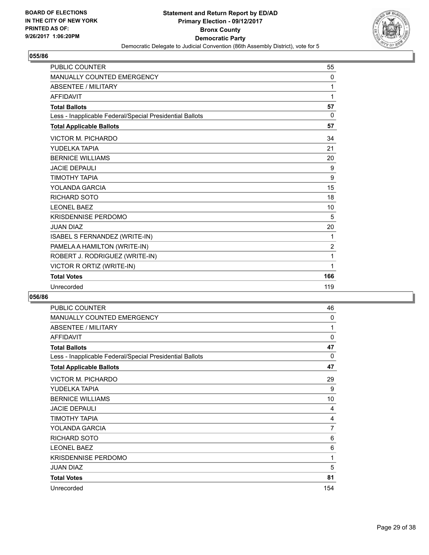

| <b>PUBLIC COUNTER</b>                                    | 55             |
|----------------------------------------------------------|----------------|
| <b>MANUALLY COUNTED EMERGENCY</b>                        | 0              |
| <b>ABSENTEE / MILITARY</b>                               | 1              |
| <b>AFFIDAVIT</b>                                         | 1              |
| <b>Total Ballots</b>                                     | 57             |
| Less - Inapplicable Federal/Special Presidential Ballots | 0              |
| <b>Total Applicable Ballots</b>                          | 57             |
| <b>VICTOR M. PICHARDO</b>                                | 34             |
| YUDELKA TAPIA                                            | 21             |
| <b>BERNICE WILLIAMS</b>                                  | 20             |
| <b>JACIF DEPAULL</b>                                     | 9              |
| <b>TIMOTHY TAPIA</b>                                     | 9              |
| YOLANDA GARCIA                                           | 15             |
| <b>RICHARD SOTO</b>                                      | 18             |
| <b>LEONEL BAEZ</b>                                       | 10             |
| <b>KRISDENNISE PERDOMO</b>                               | 5              |
| <b>JUAN DIAZ</b>                                         | 20             |
| ISABEL S FERNANDEZ (WRITE-IN)                            | 1              |
| PAMELA A HAMILTON (WRITE-IN)                             | $\overline{2}$ |
| ROBERT J. RODRIGUEZ (WRITE-IN)                           | 1              |
| VICTOR R ORTIZ (WRITE-IN)                                | 1              |
| <b>Total Votes</b>                                       | 166            |
| Unrecorded                                               | 119            |

| <b>PUBLIC COUNTER</b>                                    | 46  |
|----------------------------------------------------------|-----|
| <b>MANUALLY COUNTED EMERGENCY</b>                        | 0   |
| ABSENTEE / MILITARY                                      | 1   |
| <b>AFFIDAVIT</b>                                         | 0   |
| <b>Total Ballots</b>                                     | 47  |
| Less - Inapplicable Federal/Special Presidential Ballots | 0   |
| <b>Total Applicable Ballots</b>                          | 47  |
| <b>VICTOR M. PICHARDO</b>                                | 29  |
| YUDELKA TAPIA                                            | 9   |
| <b>BERNICE WILLIAMS</b>                                  | 10  |
| <b>JACIE DEPAULI</b>                                     | 4   |
| TIMOTHY TAPIA                                            | 4   |
| YOLANDA GARCIA                                           | 7   |
| RICHARD SOTO                                             | 6   |
| <b>LEONEL BAEZ</b>                                       | 6   |
| <b>KRISDENNISE PERDOMO</b>                               | 1   |
| <b>JUAN DIAZ</b>                                         | 5   |
| <b>Total Votes</b>                                       | 81  |
| Unrecorded                                               | 154 |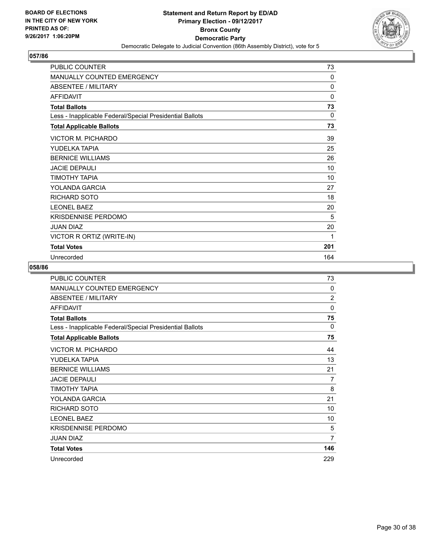

| <b>PUBLIC COUNTER</b>                                    | 73       |
|----------------------------------------------------------|----------|
| MANUALLY COUNTED EMERGENCY                               | 0        |
| ABSENTEE / MILITARY                                      | $\Omega$ |
| <b>AFFIDAVIT</b>                                         | 0        |
| <b>Total Ballots</b>                                     | 73       |
| Less - Inapplicable Federal/Special Presidential Ballots | 0        |
| <b>Total Applicable Ballots</b>                          | 73       |
| VICTOR M. PICHARDO                                       | 39       |
| YUDELKA TAPIA                                            | 25       |
| <b>BERNICE WILLIAMS</b>                                  | 26       |
| <b>JACIE DEPAULI</b>                                     | 10       |
| ΤΙΜΟΤΗΥ ΤΑΡΙΑ                                            | 10       |
| YOLANDA GARCIA                                           | 27       |
| RICHARD SOTO                                             | 18       |
| <b>LEONEL BAEZ</b>                                       | 20       |
| <b>KRISDENNISE PERDOMO</b>                               | 5        |
| <b>JUAN DIAZ</b>                                         | 20       |
| VICTOR R ORTIZ (WRITE-IN)                                | 1        |
| <b>Total Votes</b>                                       | 201      |
| Unrecorded                                               | 164      |

| <b>PUBLIC COUNTER</b>                                    | 73             |
|----------------------------------------------------------|----------------|
| MANUALLY COUNTED EMERGENCY                               | $\Omega$       |
| ABSENTEE / MILITARY                                      | $\overline{2}$ |
| <b>AFFIDAVIT</b>                                         | 0              |
| <b>Total Ballots</b>                                     | 75             |
| Less - Inapplicable Federal/Special Presidential Ballots | $\Omega$       |
| <b>Total Applicable Ballots</b>                          | 75             |
| VICTOR M. PICHARDO                                       | 44             |
| YUDELKA TAPIA                                            | 13             |
| <b>BERNICE WILLIAMS</b>                                  | 21             |
| <b>JACIE DEPAULI</b>                                     | 7              |
| TIMOTHY TAPIA                                            | 8              |
| YOLANDA GARCIA                                           | 21             |
| <b>RICHARD SOTO</b>                                      | 10             |
| <b>LEONEL BAEZ</b>                                       | 10             |
| <b>KRISDENNISE PERDOMO</b>                               | 5              |
| JUAN DIAZ                                                | 7              |
| <b>Total Votes</b>                                       | 146            |
| Unrecorded                                               | 229            |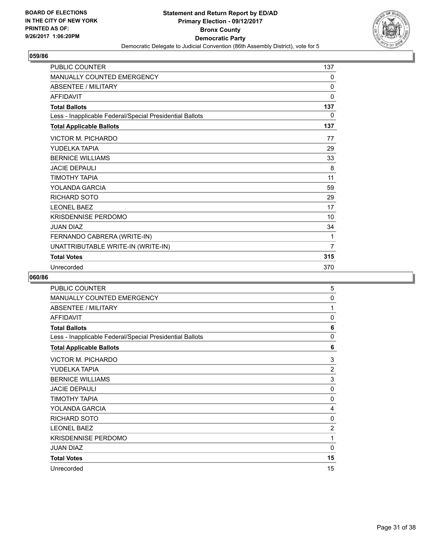

| <b>PUBLIC COUNTER</b>                                    | 137            |
|----------------------------------------------------------|----------------|
| <b>MANUALLY COUNTED EMERGENCY</b>                        | 0              |
| <b>ABSENTEE / MILITARY</b>                               | 0              |
| <b>AFFIDAVIT</b>                                         | 0              |
| <b>Total Ballots</b>                                     | 137            |
| Less - Inapplicable Federal/Special Presidential Ballots | 0              |
| <b>Total Applicable Ballots</b>                          | 137            |
| <b>VICTOR M. PICHARDO</b>                                | 77             |
| YUDELKA TAPIA                                            | 29             |
| <b>BERNICE WILLIAMS</b>                                  | 33             |
| <b>JACIE DEPAULI</b>                                     | 8              |
| TIMOTHY TAPIA                                            | 11             |
| YOLANDA GARCIA                                           | 59             |
| <b>RICHARD SOTO</b>                                      | 29             |
| <b>LEONEL BAEZ</b>                                       | 17             |
| <b>KRISDENNISE PERDOMO</b>                               | 10             |
| <b>JUAN DIAZ</b>                                         | 34             |
| FERNANDO CABRERA (WRITE-IN)                              | 1              |
| UNATTRIBUTABLE WRITE-IN (WRITE-IN)                       | $\overline{7}$ |
| <b>Total Votes</b>                                       | 315            |
| Unrecorded                                               | 370            |

| PUBLIC COUNTER                                           | 5              |
|----------------------------------------------------------|----------------|
| MANUALLY COUNTED EMERGENCY                               | 0              |
| <b>ABSENTEE / MILITARY</b>                               | 1              |
| <b>AFFIDAVIT</b>                                         | $\mathbf{0}$   |
| <b>Total Ballots</b>                                     | 6              |
| Less - Inapplicable Federal/Special Presidential Ballots | 0              |
| <b>Total Applicable Ballots</b>                          | 6              |
| VICTOR M. PICHARDO                                       | 3              |
| YUDELKA TAPIA                                            | $\overline{2}$ |
| <b>BERNICE WILLIAMS</b>                                  | 3              |
| <b>JACIE DEPAULI</b>                                     | 0              |
| TIMOTHY TAPIA                                            | 0              |
| YOLANDA GARCIA                                           | 4              |
| <b>RICHARD SOTO</b>                                      | 0              |
| <b>LEONEL BAEZ</b>                                       | $\overline{2}$ |
| <b>KRISDENNISE PERDOMO</b>                               | 1              |
| <b>JUAN DIAZ</b>                                         | 0              |
| <b>Total Votes</b>                                       | 15             |
| Unrecorded                                               | 15             |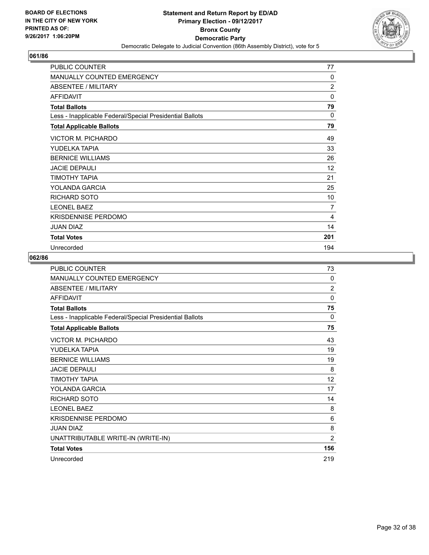

| <b>PUBLIC COUNTER</b>                                    | 77             |
|----------------------------------------------------------|----------------|
| <b>MANUALLY COUNTED EMERGENCY</b>                        | 0              |
| <b>ABSENTEE / MILITARY</b>                               | $\overline{2}$ |
| <b>AFFIDAVIT</b>                                         | 0              |
| <b>Total Ballots</b>                                     | 79             |
| Less - Inapplicable Federal/Special Presidential Ballots | 0              |
| <b>Total Applicable Ballots</b>                          | 79             |
| VICTOR M. PICHARDO                                       | 49             |
| YUDELKA TAPIA                                            | 33             |
| <b>BERNICE WILLIAMS</b>                                  | 26             |
| <b>JACIE DEPAULI</b>                                     | 12             |
| TIMOTHY TAPIA                                            | 21             |
| YOLANDA GARCIA                                           | 25             |
| <b>RICHARD SOTO</b>                                      | 10             |
| <b>LEONEL BAEZ</b>                                       | 7              |
| KRISDENNISE PERDOMO                                      | 4              |
| <b>JUAN DIAZ</b>                                         | 14             |
| <b>Total Votes</b>                                       | 201            |
| Unrecorded                                               | 194            |

| <b>PUBLIC COUNTER</b>                                    | 73             |
|----------------------------------------------------------|----------------|
| MANUALLY COUNTED EMERGENCY                               | 0              |
| ABSENTEE / MILITARY                                      | $\overline{2}$ |
| <b>AFFIDAVIT</b>                                         | 0              |
| <b>Total Ballots</b>                                     | 75             |
| Less - Inapplicable Federal/Special Presidential Ballots | 0              |
| <b>Total Applicable Ballots</b>                          | 75             |
| VICTOR M. PICHARDO                                       | 43             |
| YUDELKA TAPIA                                            | 19             |
| <b>BERNICE WILLIAMS</b>                                  | 19             |
| <b>JACIE DEPAULI</b>                                     | 8              |
| ΤΙΜΟΤΗΥ ΤΑΡΙΑ                                            | 12             |
| YOLANDA GARCIA                                           | 17             |
| <b>RICHARD SOTO</b>                                      | 14             |
| <b>LEONEL BAEZ</b>                                       | 8              |
| <b>KRISDENNISE PERDOMO</b>                               | 6              |
| <b>JUAN DIAZ</b>                                         | 8              |
| UNATTRIBUTABLE WRITE-IN (WRITE-IN)                       | $\overline{2}$ |
| <b>Total Votes</b>                                       | 156            |
| Unrecorded                                               | 219            |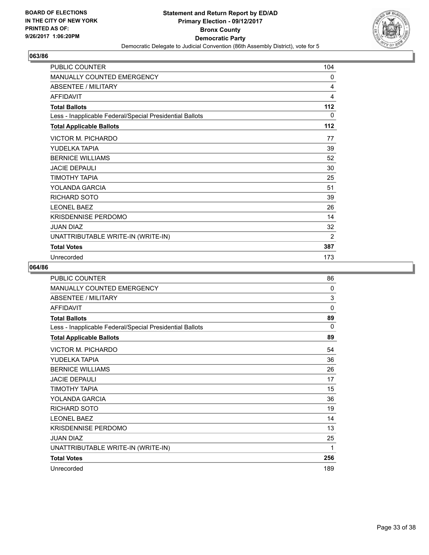

| <b>PUBLIC COUNTER</b>                                    | 104 |
|----------------------------------------------------------|-----|
| <b>MANUALLY COUNTED EMERGENCY</b>                        | 0   |
| <b>ABSENTEE / MILITARY</b>                               | 4   |
| <b>AFFIDAVIT</b>                                         | 4   |
| <b>Total Ballots</b>                                     | 112 |
| Less - Inapplicable Federal/Special Presidential Ballots | 0   |
| <b>Total Applicable Ballots</b>                          | 112 |
| VICTOR M. PICHARDO                                       | 77  |
| YUDELKA TAPIA                                            | 39  |
| <b>BERNICE WILLIAMS</b>                                  | 52  |
| <b>JACIE DEPAULI</b>                                     | 30  |
| TIMOTHY TAPIA                                            | 25  |
| YOLANDA GARCIA                                           | 51  |
| RICHARD SOTO                                             | 39  |
| <b>LEONEL BAEZ</b>                                       | 26  |
| <b>KRISDENNISE PERDOMO</b>                               | 14  |
| <b>JUAN DIAZ</b>                                         | 32  |
| UNATTRIBUTABLE WRITE-IN (WRITE-IN)                       | 2   |
| <b>Total Votes</b>                                       | 387 |
| Unrecorded                                               | 173 |

| <b>PUBLIC COUNTER</b>                                    | 86       |
|----------------------------------------------------------|----------|
| <b>MANUALLY COUNTED EMERGENCY</b>                        | 0        |
| <b>ABSENTEE / MILITARY</b>                               | 3        |
| <b>AFFIDAVIT</b>                                         | 0        |
| <b>Total Ballots</b>                                     | 89       |
| Less - Inapplicable Federal/Special Presidential Ballots | $\Omega$ |
| <b>Total Applicable Ballots</b>                          | 89       |
| VICTOR M. PICHARDO                                       | 54       |
| YUDELKA TAPIA                                            | 36       |
| <b>BERNICE WILLIAMS</b>                                  | 26       |
| <b>JACIE DEPAULI</b>                                     | 17       |
| <b>TIMOTHY TAPIA</b>                                     | 15       |
| <b>YOLANDA GARCIA</b>                                    | 36       |
| <b>RICHARD SOTO</b>                                      | 19       |
| <b>LEONEL BAEZ</b>                                       | 14       |
| <b>KRISDENNISE PERDOMO</b>                               | 13       |
| <b>JUAN DIAZ</b>                                         | 25       |
| UNATTRIBUTABLE WRITE-IN (WRITE-IN)                       | 1        |
| <b>Total Votes</b>                                       | 256      |
| Unrecorded                                               | 189      |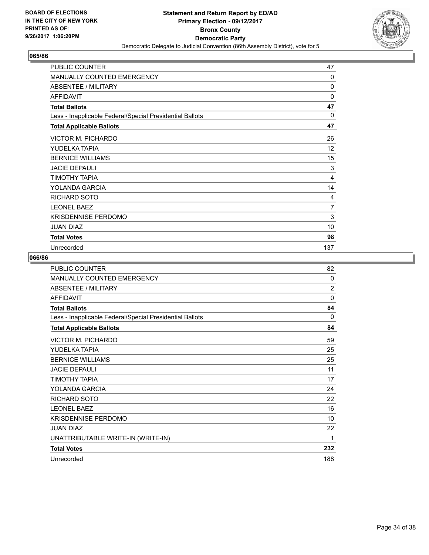

| PUBLIC COUNTER                                           | 47             |
|----------------------------------------------------------|----------------|
| <b>MANUALLY COUNTED EMERGENCY</b>                        | 0              |
| ABSENTEE / MILITARY                                      | 0              |
| <b>AFFIDAVIT</b>                                         | 0              |
| <b>Total Ballots</b>                                     | 47             |
| Less - Inapplicable Federal/Special Presidential Ballots | 0              |
| <b>Total Applicable Ballots</b>                          | 47             |
| VICTOR M. PICHARDO                                       | 26             |
| YUDELKA TAPIA                                            | 12             |
| <b>BERNICE WILLIAMS</b>                                  | 15             |
| <b>JACIE DEPAULI</b>                                     | 3              |
| TIMOTHY TAPIA                                            | 4              |
| YOLANDA GARCIA                                           | 14             |
| <b>RICHARD SOTO</b>                                      | 4              |
| <b>LEONEL BAEZ</b>                                       | $\overline{7}$ |
| <b>KRISDENNISE PERDOMO</b>                               | 3              |
| <b>JUAN DIAZ</b>                                         | 10             |
| <b>Total Votes</b>                                       | 98             |
| Unrecorded                                               | 137            |

| <b>PUBLIC COUNTER</b>                                    | 82             |
|----------------------------------------------------------|----------------|
| MANUALLY COUNTED EMERGENCY                               | 0              |
| ABSENTEE / MILITARY                                      | $\overline{2}$ |
| <b>AFFIDAVIT</b>                                         | $\Omega$       |
| <b>Total Ballots</b>                                     | 84             |
| Less - Inapplicable Federal/Special Presidential Ballots | 0              |
| <b>Total Applicable Ballots</b>                          | 84             |
| VICTOR M. PICHARDO                                       | 59             |
| YUDELKA TAPIA                                            | 25             |
| <b>BERNICE WILLIAMS</b>                                  | 25             |
| <b>JACIE DEPAULI</b>                                     | 11             |
| ΤΙΜΟΤΗΥ ΤΑΡΙΑ                                            | 17             |
| YOLANDA GARCIA                                           | 24             |
| <b>RICHARD SOTO</b>                                      | 22             |
| <b>LEONEL BAEZ</b>                                       | 16             |
| <b>KRISDENNISE PERDOMO</b>                               | 10             |
| <b>JUAN DIAZ</b>                                         | 22             |
| UNATTRIBUTABLE WRITE-IN (WRITE-IN)                       | 1              |
| <b>Total Votes</b>                                       | 232            |
| Unrecorded                                               | 188            |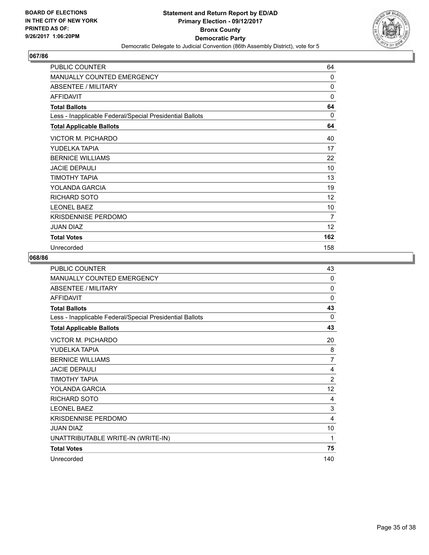

| <b>PUBLIC COUNTER</b>                                    | 64           |
|----------------------------------------------------------|--------------|
| <b>MANUALLY COUNTED EMERGENCY</b>                        | $\mathbf{0}$ |
| <b>ABSENTEE / MILITARY</b>                               | 0            |
| <b>AFFIDAVIT</b>                                         | 0            |
| <b>Total Ballots</b>                                     | 64           |
| Less - Inapplicable Federal/Special Presidential Ballots | $\Omega$     |
| <b>Total Applicable Ballots</b>                          | 64           |
| <b>VICTOR M. PICHARDO</b>                                | 40           |
| YUDELKA TAPIA                                            | 17           |
| <b>BERNICE WILLIAMS</b>                                  | 22           |
| <b>JACIE DEPAULI</b>                                     | 10           |
| TIMOTHY TAPIA                                            | 13           |
| YOLANDA GARCIA                                           | 19           |
| RICHARD SOTO                                             | 12           |
| <b>LEONEL BAEZ</b>                                       | 10           |
| <b>KRISDENNISE PERDOMO</b>                               | 7            |
| <b>JUAN DIAZ</b>                                         | 12           |
| <b>Total Votes</b>                                       | 162          |
| Unrecorded                                               | 158          |

| PUBLIC COUNTER                                           | 43             |
|----------------------------------------------------------|----------------|
| MANUALLY COUNTED EMERGENCY                               | $\Omega$       |
| <b>ABSENTEE / MILITARY</b>                               | $\Omega$       |
| <b>AFFIDAVIT</b>                                         | $\Omega$       |
| <b>Total Ballots</b>                                     | 43             |
| Less - Inapplicable Federal/Special Presidential Ballots | $\Omega$       |
| <b>Total Applicable Ballots</b>                          | 43             |
| VICTOR M. PICHARDO                                       | 20             |
| YUDELKA TAPIA                                            | 8              |
| <b>BERNICE WILLIAMS</b>                                  | $\overline{7}$ |
| <b>JACIE DEPAULI</b>                                     | 4              |
| ΤΙΜΟΤΗΥ ΤΑΡΙΑ                                            | $\overline{2}$ |
| YOLANDA GARCIA                                           | 12             |
| <b>RICHARD SOTO</b>                                      | 4              |
| <b>LEONEL BAEZ</b>                                       | 3              |
| <b>KRISDENNISE PERDOMO</b>                               | 4              |
| <b>JUAN DIAZ</b>                                         | 10             |
| UNATTRIBUTABLE WRITE-IN (WRITE-IN)                       | 1              |
| <b>Total Votes</b>                                       | 75             |
| Unrecorded                                               | 140            |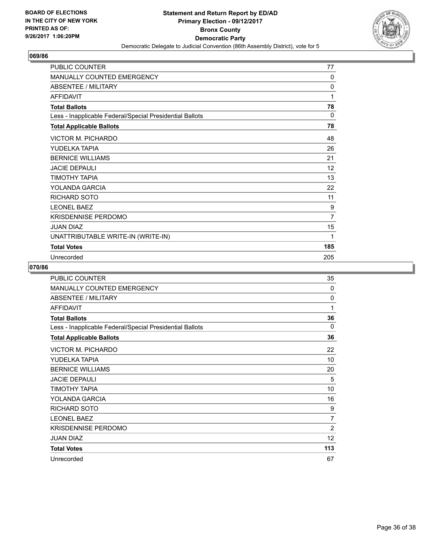

| <b>PUBLIC COUNTER</b>                                    | 77           |
|----------------------------------------------------------|--------------|
| <b>MANUALLY COUNTED EMERGENCY</b>                        | 0            |
| <b>ABSENTEE / MILITARY</b>                               | $\mathbf{0}$ |
| <b>AFFIDAVIT</b>                                         | 1            |
| <b>Total Ballots</b>                                     | 78           |
| Less - Inapplicable Federal/Special Presidential Ballots | 0            |
| <b>Total Applicable Ballots</b>                          | 78           |
| <b>VICTOR M. PICHARDO</b>                                | 48           |
| YUDELKA TAPIA                                            | 26           |
| <b>BERNICE WILLIAMS</b>                                  | 21           |
| <b>JACIE DEPAULI</b>                                     | 12           |
| ΤΙΜΟΤΗΥ ΤΑΡΙΑ                                            | 13           |
| YOLANDA GARCIA                                           | 22           |
| RICHARD SOTO                                             | 11           |
| <b>LEONEL BAEZ</b>                                       | 9            |
| <b>KRISDENNISE PERDOMO</b>                               | 7            |
| <b>JUAN DIAZ</b>                                         | 15           |
| UNATTRIBUTABLE WRITE-IN (WRITE-IN)                       | 1            |
| <b>Total Votes</b>                                       | 185          |
| Unrecorded                                               | 205          |

| <b>PUBLIC COUNTER</b>                                    | 35             |
|----------------------------------------------------------|----------------|
| MANUALLY COUNTED EMERGENCY                               | $\Omega$       |
| ABSENTEE / MILITARY                                      | 0              |
| <b>AFFIDAVIT</b>                                         | 1              |
| <b>Total Ballots</b>                                     | 36             |
| Less - Inapplicable Federal/Special Presidential Ballots | $\Omega$       |
| <b>Total Applicable Ballots</b>                          | 36             |
| VICTOR M. PICHARDO                                       | 22             |
| YUDELKA TAPIA                                            | 10             |
| <b>BERNICE WILLIAMS</b>                                  | 20             |
| <b>JACIE DEPAULI</b>                                     | 5              |
| ΤΙΜΟΤΗΥ ΤΑΡΙΑ                                            | 10             |
| YOLANDA GARCIA                                           | 16             |
| <b>RICHARD SOTO</b>                                      | 9              |
| <b>LEONEL BAEZ</b>                                       | 7              |
| <b>KRISDENNISE PERDOMO</b>                               | $\overline{2}$ |
| <b>JUAN DIAZ</b>                                         | 12             |
| <b>Total Votes</b>                                       | 113            |
| Unrecorded                                               | 67             |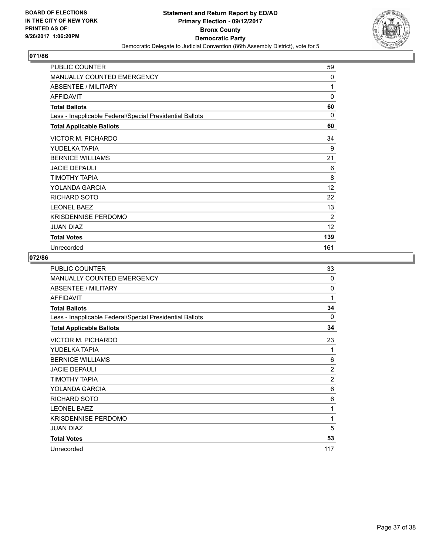

| PUBLIC COUNTER                                           | 59       |
|----------------------------------------------------------|----------|
| <b>MANUALLY COUNTED EMERGENCY</b>                        | 0        |
| ABSENTEE / MILITARY                                      | 1        |
| <b>AFFIDAVIT</b>                                         | 0        |
| <b>Total Ballots</b>                                     | 60       |
| Less - Inapplicable Federal/Special Presidential Ballots | $\Omega$ |
| <b>Total Applicable Ballots</b>                          | 60       |
| <b>VICTOR M. PICHARDO</b>                                | 34       |
| YUDELKA TAPIA                                            | 9        |
| <b>BERNICE WILLIAMS</b>                                  | 21       |
| <b>JACIE DEPAULI</b>                                     | 6        |
| TIMOTHY TAPIA                                            | 8        |
| YOLANDA GARCIA                                           | 12       |
| <b>RICHARD SOTO</b>                                      | 22       |
| <b>LEONEL BAEZ</b>                                       | 13       |
| <b>KRISDENNISE PERDOMO</b>                               | 2        |
| <b>JUAN DIAZ</b>                                         | 12       |
| <b>Total Votes</b>                                       | 139      |
| Unrecorded                                               | 161      |

| <b>PUBLIC COUNTER</b>                                    | 33             |
|----------------------------------------------------------|----------------|
| <b>MANUALLY COUNTED EMERGENCY</b>                        | $\Omega$       |
| ABSENTEE / MILITARY                                      | 0              |
| <b>AFFIDAVIT</b>                                         | 1              |
| <b>Total Ballots</b>                                     | 34             |
| Less - Inapplicable Federal/Special Presidential Ballots | 0              |
| <b>Total Applicable Ballots</b>                          | 34             |
| VICTOR M. PICHARDO                                       | 23             |
| YUDELKA TAPIA                                            | 1              |
| <b>BERNICE WILLIAMS</b>                                  | 6              |
| <b>JACIE DEPAULI</b>                                     | $\overline{2}$ |
| ΤΙΜΟΤΗΥ ΤΑΡΙΑ                                            | $\overline{2}$ |
| YOLANDA GARCIA                                           | 6              |
| <b>RICHARD SOTO</b>                                      | 6              |
| <b>LEONEL BAEZ</b>                                       | 1              |
| <b>KRISDENNISE PERDOMO</b>                               | 1              |
| <b>JUAN DIAZ</b>                                         | 5              |
| <b>Total Votes</b>                                       | 53             |
| Unrecorded                                               | 117            |